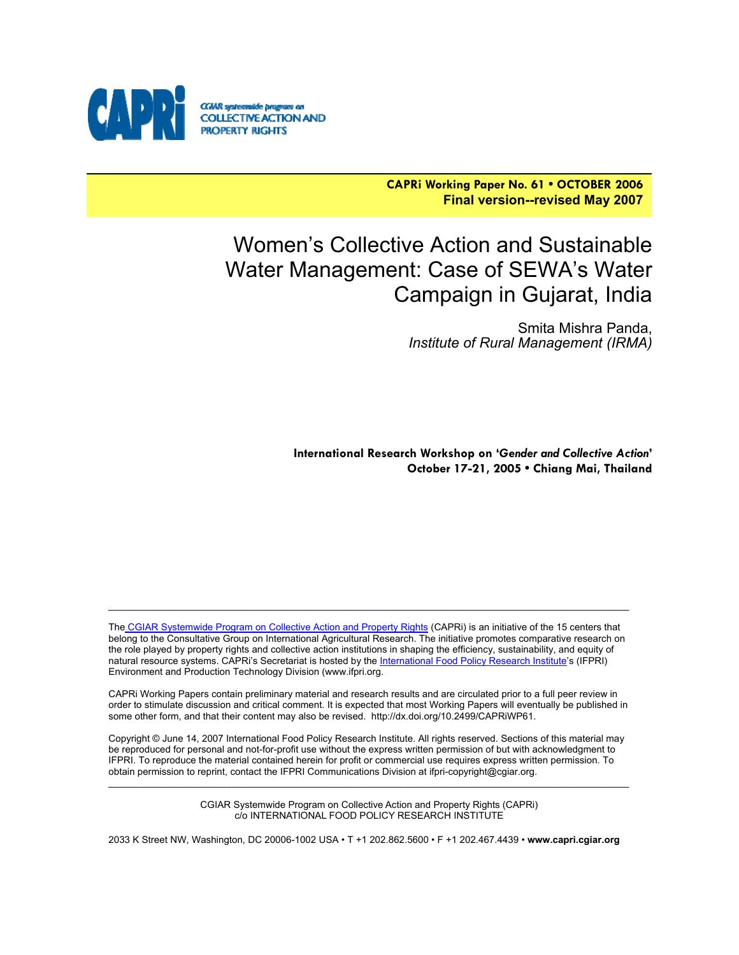

**CAPRi Working Paper No. 61 • OCTOBER 2006 Final version--revised May 2007**

# Women's Collective Action and Sustainable Water Management: Case of SEWA's Water Campaign in Gujarat, India

Smita Mishra Panda, *Institute of Rural Management (IRMA)*

**International Research Workshop on '***Gender and Collective Action***' October 17-21, 2005 • Chiang Mai, Thailand**

The CGIAR Systemwide Program on Collective Action and Property Rights (CAPRi) is an initiative of the 15 centers that belong to the Consultative Group on International Agricultural Research. The initiative promotes comparative research on the role played by property rights and collective action institutions in shaping the efficiency, sustainability, and equity of natural resource systems. CAPRi's Secretariat is hosted by the International Food Policy Research Institute's (IFPRI) Environment and Production Technology Division (www.ifpri.org.

\_\_\_\_\_\_\_\_\_\_\_\_\_\_\_\_\_\_\_\_\_\_\_\_\_\_\_\_\_\_\_\_\_\_\_\_\_\_\_\_\_\_\_\_\_\_\_\_\_\_\_\_\_\_\_\_\_\_\_\_\_\_\_\_\_\_\_\_\_\_\_\_\_\_\_\_\_\_\_\_\_\_\_\_\_\_\_\_\_\_\_\_\_\_\_\_\_

CAPRi Working Papers contain preliminary material and research results and are circulated prior to a full peer review in order to stimulate discussion and critical comment. It is expected that most Working Papers will eventually be published in some other form, and that their content may also be revised. http://dx.doi.org/10.2499/CAPRiWP61.

Copyright © June 14, 2007 International Food Policy Research Institute. All rights reserved. Sections of this material may be reproduced for personal and not-for-profit use without the express written permission of but with acknowledgment to IFPRI. To reproduce the material contained herein for profit or commercial use requires express written permission. To obtain permission to reprint, contact the IFPRI Communications Division at ifpri-copyright@cgiar.org.

> CGIAR Systemwide Program on Collective Action and Property Rights (CAPRi) c/o INTERNATIONAL FOOD POLICY RESEARCH INSTITUTE

 $\mathcal{L}_\mathcal{L} = \{ \mathcal{L}_\mathcal{L} = \{ \mathcal{L}_\mathcal{L} = \{ \mathcal{L}_\mathcal{L} = \{ \mathcal{L}_\mathcal{L} = \{ \mathcal{L}_\mathcal{L} = \{ \mathcal{L}_\mathcal{L} = \{ \mathcal{L}_\mathcal{L} = \{ \mathcal{L}_\mathcal{L} = \{ \mathcal{L}_\mathcal{L} = \{ \mathcal{L}_\mathcal{L} = \{ \mathcal{L}_\mathcal{L} = \{ \mathcal{L}_\mathcal{L} = \{ \mathcal{L}_\mathcal{L} = \{ \mathcal{L}_\mathcal{$ 

2033 K Street NW, Washington, DC 20006-1002 USA • T +1 202.862.5600 • F +1 202.467.4439 • **www.capri.cgiar.org**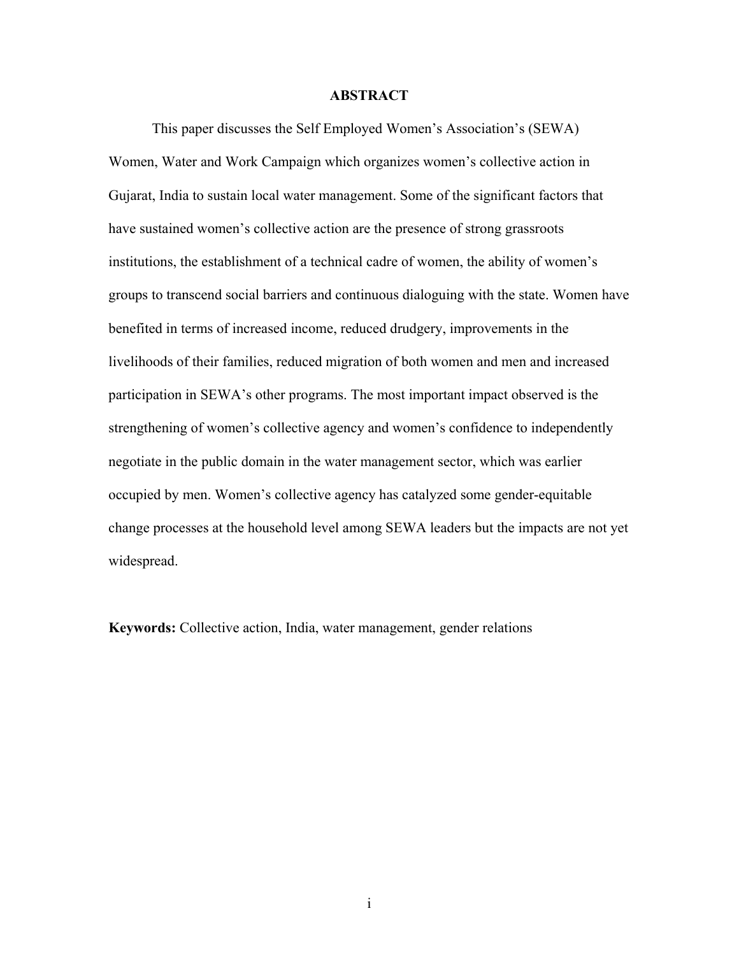#### **ABSTRACT**

This paper discusses the Self Employed Women's Association's (SEWA) Women, Water and Work Campaign which organizes women's collective action in Gujarat, India to sustain local water management. Some of the significant factors that have sustained women's collective action are the presence of strong grassroots institutions, the establishment of a technical cadre of women, the ability of women's groups to transcend social barriers and continuous dialoguing with the state. Women have benefited in terms of increased income, reduced drudgery, improvements in the livelihoods of their families, reduced migration of both women and men and increased participation in SEWA's other programs. The most important impact observed is the strengthening of women's collective agency and women's confidence to independently negotiate in the public domain in the water management sector, which was earlier occupied by men. Women's collective agency has catalyzed some gender-equitable change processes at the household level among SEWA leaders but the impacts are not yet widespread.

**Keywords:** Collective action, India, water management, gender relations

i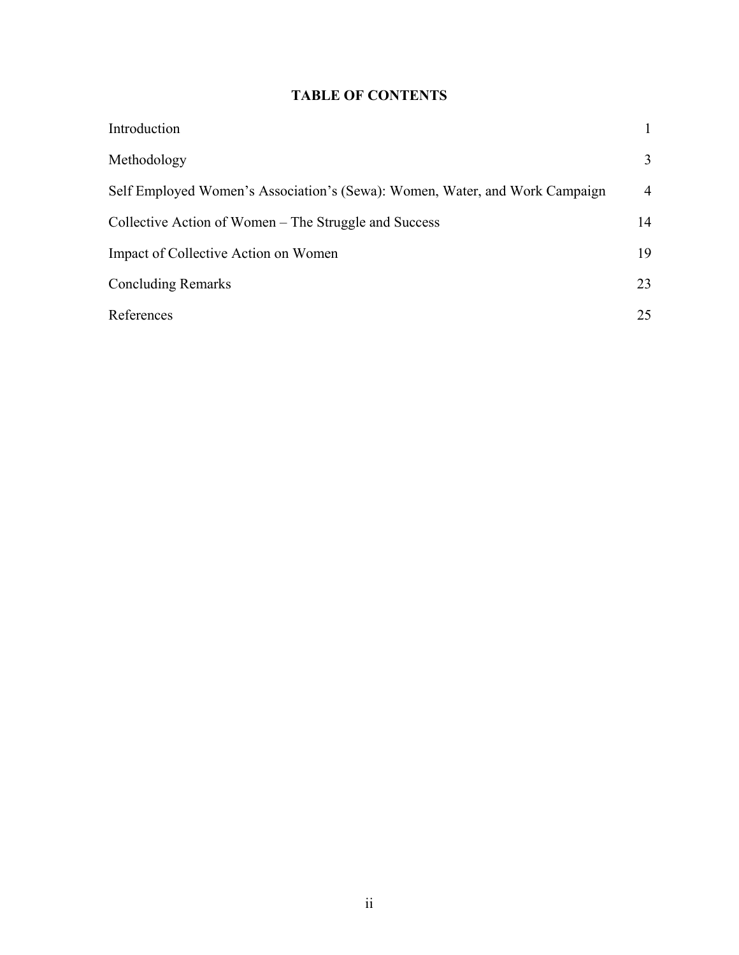### **TABLE OF CONTENTS**

| Introduction                                                                |                |
|-----------------------------------------------------------------------------|----------------|
| Methodology                                                                 | 3              |
| Self Employed Women's Association's (Sewa): Women, Water, and Work Campaign | $\overline{4}$ |
| Collective Action of Women – The Struggle and Success                       | 14             |
| Impact of Collective Action on Women                                        | 19             |
| <b>Concluding Remarks</b>                                                   | 23             |
| References                                                                  | 25             |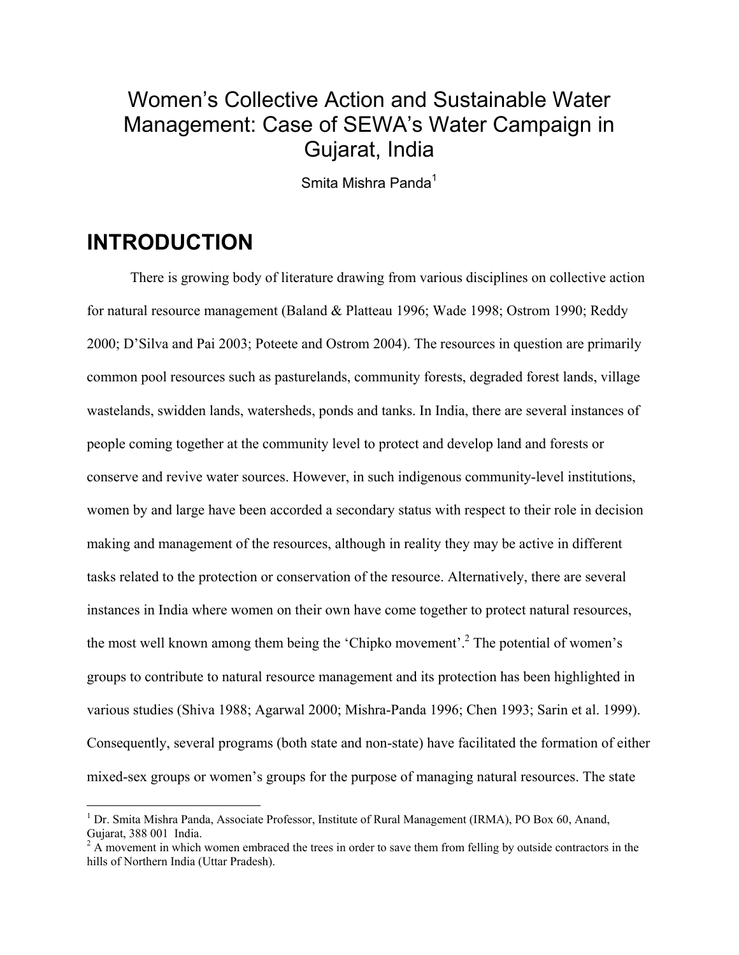# Women's Collective Action and Sustainable Water Management: Case of SEWA's Water Campaign in Gujarat, India

Smita Mishra Panda<sup>1</sup>

### **INTRODUCTION**

 $\overline{a}$ 

There is growing body of literature drawing from various disciplines on collective action for natural resource management (Baland & Platteau 1996; Wade 1998; Ostrom 1990; Reddy 2000; D'Silva and Pai 2003; Poteete and Ostrom 2004). The resources in question are primarily common pool resources such as pasturelands, community forests, degraded forest lands, village wastelands, swidden lands, watersheds, ponds and tanks. In India, there are several instances of people coming together at the community level to protect and develop land and forests or conserve and revive water sources. However, in such indigenous community-level institutions, women by and large have been accorded a secondary status with respect to their role in decision making and management of the resources, although in reality they may be active in different tasks related to the protection or conservation of the resource. Alternatively, there are several instances in India where women on their own have come together to protect natural resources, the most well known among them being the 'Chipko movement'.<sup>2</sup> The potential of women's groups to contribute to natural resource management and its protection has been highlighted in various studies (Shiva 1988; Agarwal 2000; Mishra-Panda 1996; Chen 1993; Sarin et al. 1999). Consequently, several programs (both state and non-state) have facilitated the formation of either mixed-sex groups or women's groups for the purpose of managing natural resources. The state

<sup>&</sup>lt;sup>1</sup> Dr. Smita Mishra Panda, Associate Professor, Institute of Rural Management (IRMA), PO Box 60, Anand, Gujarat, 388 001 India.

 $2A$  movement in which women embraced the trees in order to save them from felling by outside contractors in the hills of Northern India (Uttar Pradesh).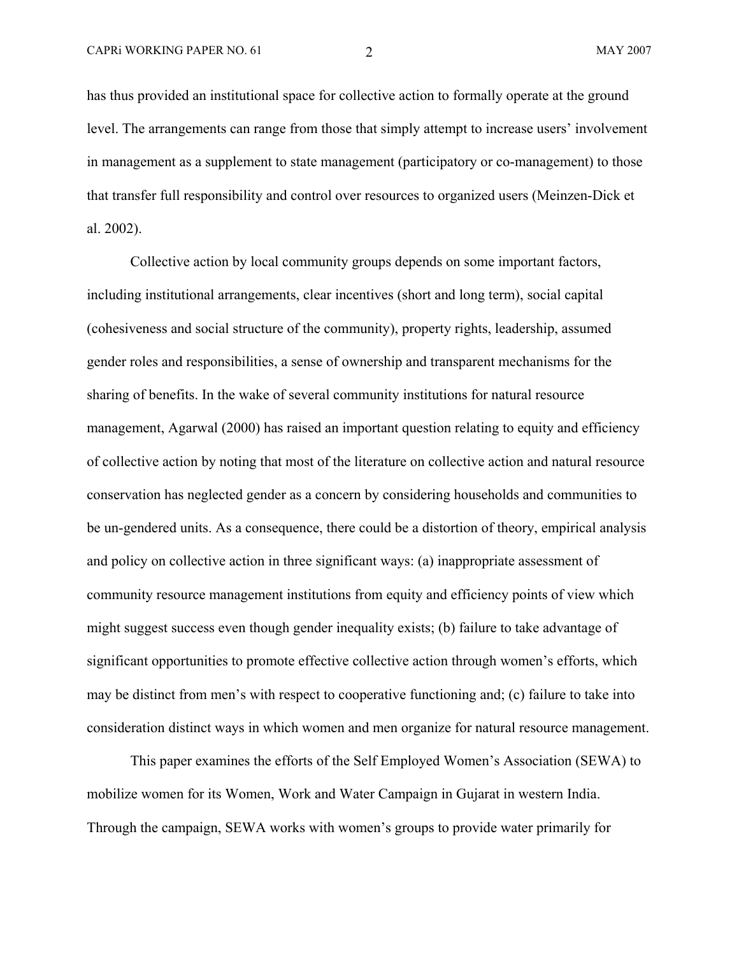has thus provided an institutional space for collective action to formally operate at the ground level. The arrangements can range from those that simply attempt to increase users' involvement in management as a supplement to state management (participatory or co-management) to those that transfer full responsibility and control over resources to organized users (Meinzen-Dick et al. 2002).

Collective action by local community groups depends on some important factors, including institutional arrangements, clear incentives (short and long term), social capital (cohesiveness and social structure of the community), property rights, leadership, assumed gender roles and responsibilities, a sense of ownership and transparent mechanisms for the sharing of benefits. In the wake of several community institutions for natural resource management, Agarwal (2000) has raised an important question relating to equity and efficiency of collective action by noting that most of the literature on collective action and natural resource conservation has neglected gender as a concern by considering households and communities to be un-gendered units. As a consequence, there could be a distortion of theory, empirical analysis and policy on collective action in three significant ways: (a) inappropriate assessment of community resource management institutions from equity and efficiency points of view which might suggest success even though gender inequality exists; (b) failure to take advantage of significant opportunities to promote effective collective action through women's efforts, which may be distinct from men's with respect to cooperative functioning and; (c) failure to take into consideration distinct ways in which women and men organize for natural resource management.

This paper examines the efforts of the Self Employed Women's Association (SEWA) to mobilize women for its Women, Work and Water Campaign in Gujarat in western India. Through the campaign, SEWA works with women's groups to provide water primarily for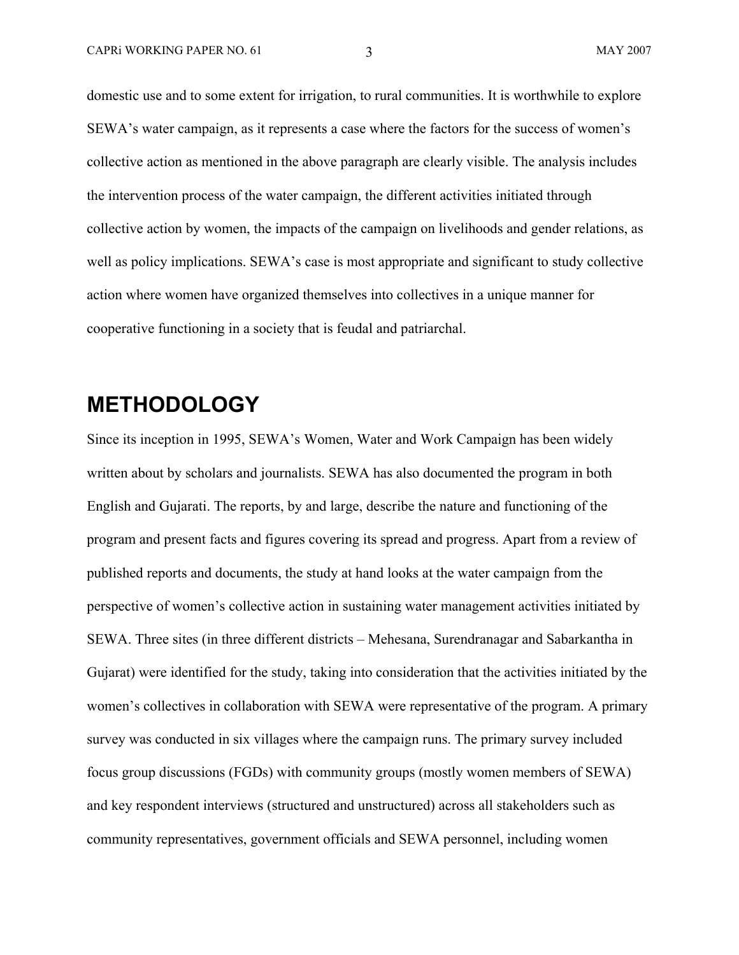domestic use and to some extent for irrigation, to rural communities. It is worthwhile to explore SEWA's water campaign, as it represents a case where the factors for the success of women's collective action as mentioned in the above paragraph are clearly visible. The analysis includes the intervention process of the water campaign, the different activities initiated through collective action by women, the impacts of the campaign on livelihoods and gender relations, as well as policy implications. SEWA's case is most appropriate and significant to study collective action where women have organized themselves into collectives in a unique manner for cooperative functioning in a society that is feudal and patriarchal.

### **METHODOLOGY**

Since its inception in 1995, SEWA's Women, Water and Work Campaign has been widely written about by scholars and journalists. SEWA has also documented the program in both English and Gujarati. The reports, by and large, describe the nature and functioning of the program and present facts and figures covering its spread and progress. Apart from a review of published reports and documents, the study at hand looks at the water campaign from the perspective of women's collective action in sustaining water management activities initiated by SEWA. Three sites (in three different districts – Mehesana, Surendranagar and Sabarkantha in Gujarat) were identified for the study, taking into consideration that the activities initiated by the women's collectives in collaboration with SEWA were representative of the program. A primary survey was conducted in six villages where the campaign runs. The primary survey included focus group discussions (FGDs) with community groups (mostly women members of SEWA) and key respondent interviews (structured and unstructured) across all stakeholders such as community representatives, government officials and SEWA personnel, including women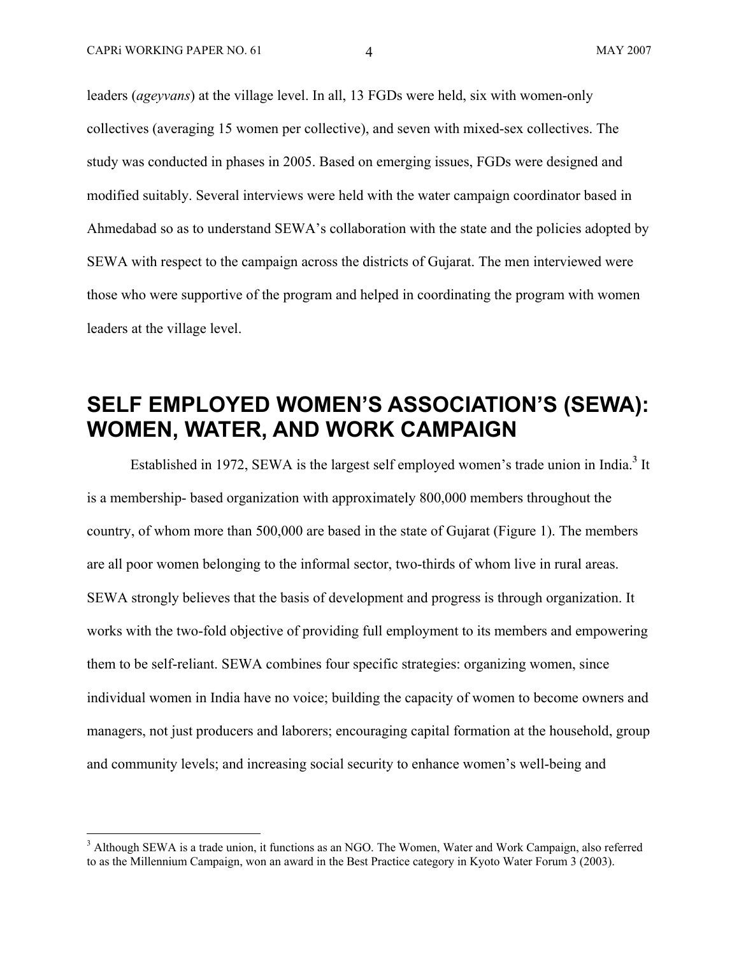1

leaders (*ageyvans*) at the village level. In all, 13 FGDs were held, six with women-only collectives (averaging 15 women per collective), and seven with mixed-sex collectives. The study was conducted in phases in 2005. Based on emerging issues, FGDs were designed and modified suitably. Several interviews were held with the water campaign coordinator based in Ahmedabad so as to understand SEWA's collaboration with the state and the policies adopted by SEWA with respect to the campaign across the districts of Gujarat. The men interviewed were those who were supportive of the program and helped in coordinating the program with women leaders at the village level.

# **SELF EMPLOYED WOMEN'S ASSOCIATION'S (SEWA): WOMEN, WATER, AND WORK CAMPAIGN**

Established in 1972, SEWA is the largest self employed women's trade union in India.<sup>3</sup> It is a membership- based organization with approximately 800,000 members throughout the country, of whom more than 500,000 are based in the state of Gujarat (Figure 1). The members are all poor women belonging to the informal sector, two-thirds of whom live in rural areas. SEWA strongly believes that the basis of development and progress is through organization. It works with the two-fold objective of providing full employment to its members and empowering them to be self-reliant. SEWA combines four specific strategies: organizing women, since individual women in India have no voice; building the capacity of women to become owners and managers, not just producers and laborers; encouraging capital formation at the household, group and community levels; and increasing social security to enhance women's well-being and

<sup>&</sup>lt;sup>3</sup> Although SEWA is a trade union, it functions as an NGO. The Women, Water and Work Campaign, also referred to as the Millennium Campaign, won an award in the Best Practice category in Kyoto Water Forum 3 (2003).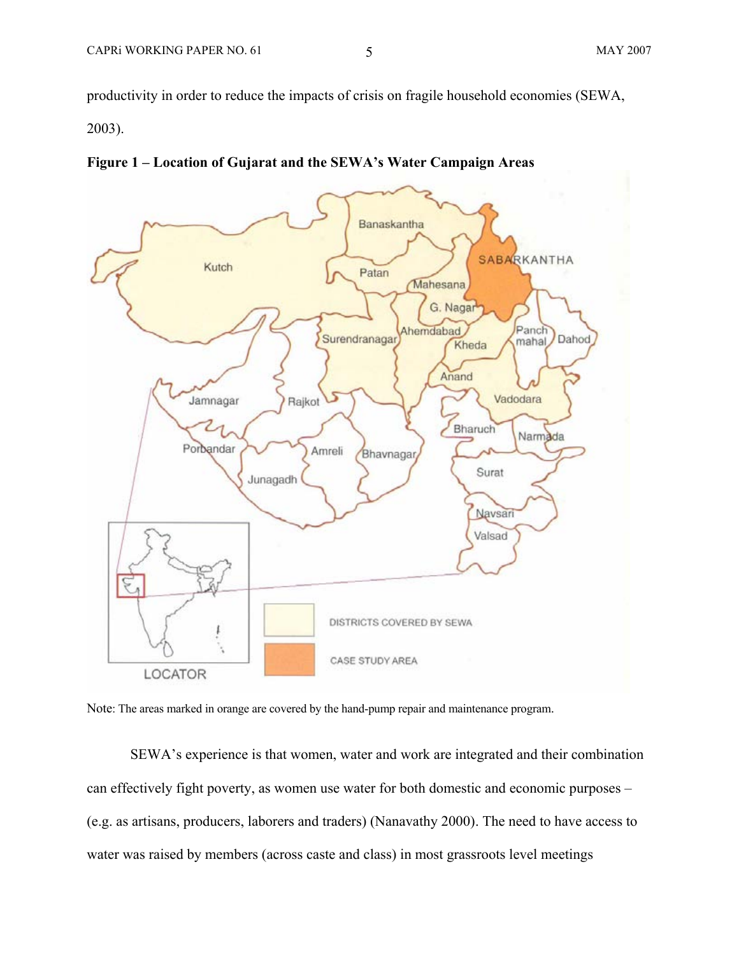productivity in order to reduce the impacts of crisis on fragile household economies (SEWA,

2003).





Note: The areas marked in orange are covered by the hand-pump repair and maintenance program.

SEWA's experience is that women, water and work are integrated and their combination can effectively fight poverty, as women use water for both domestic and economic purposes – (e.g. as artisans, producers, laborers and traders) (Nanavathy 2000). The need to have access to water was raised by members (across caste and class) in most grassroots level meetings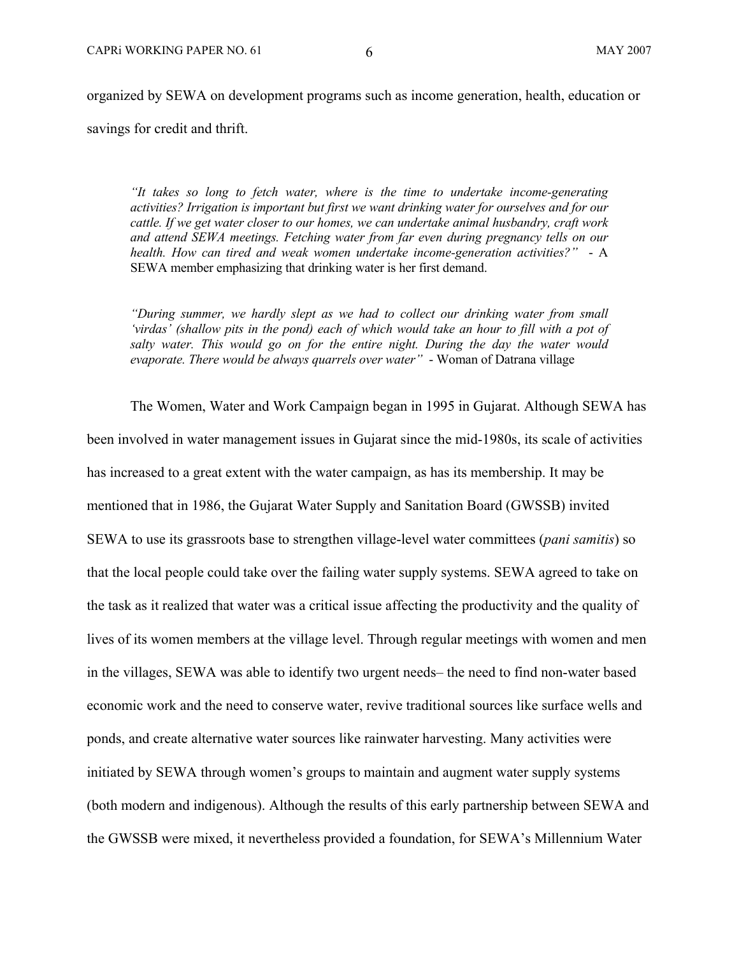organized by SEWA on development programs such as income generation, health, education or savings for credit and thrift.

*"It takes so long to fetch water, where is the time to undertake income-generating activities? Irrigation is important but first we want drinking water for ourselves and for our cattle. If we get water closer to our homes, we can undertake animal husbandry, craft work and attend SEWA meetings. Fetching water from far even during pregnancy tells on our health. How can tired and weak women undertake income-generation activities?"* - A SEWA member emphasizing that drinking water is her first demand.

*"During summer, we hardly slept as we had to collect our drinking water from small 'virdas' (shallow pits in the pond) each of which would take an hour to fill with a pot of salty water. This would go on for the entire night. During the day the water would evaporate. There would be always quarrels over water"* - Woman of Datrana village

The Women, Water and Work Campaign began in 1995 in Gujarat. Although SEWA has been involved in water management issues in Gujarat since the mid-1980s, its scale of activities has increased to a great extent with the water campaign, as has its membership. It may be mentioned that in 1986, the Gujarat Water Supply and Sanitation Board (GWSSB) invited SEWA to use its grassroots base to strengthen village-level water committees (*pani samitis*) so that the local people could take over the failing water supply systems. SEWA agreed to take on the task as it realized that water was a critical issue affecting the productivity and the quality of lives of its women members at the village level. Through regular meetings with women and men in the villages, SEWA was able to identify two urgent needs– the need to find non-water based economic work and the need to conserve water, revive traditional sources like surface wells and ponds, and create alternative water sources like rainwater harvesting. Many activities were initiated by SEWA through women's groups to maintain and augment water supply systems (both modern and indigenous). Although the results of this early partnership between SEWA and the GWSSB were mixed, it nevertheless provided a foundation, for SEWA's Millennium Water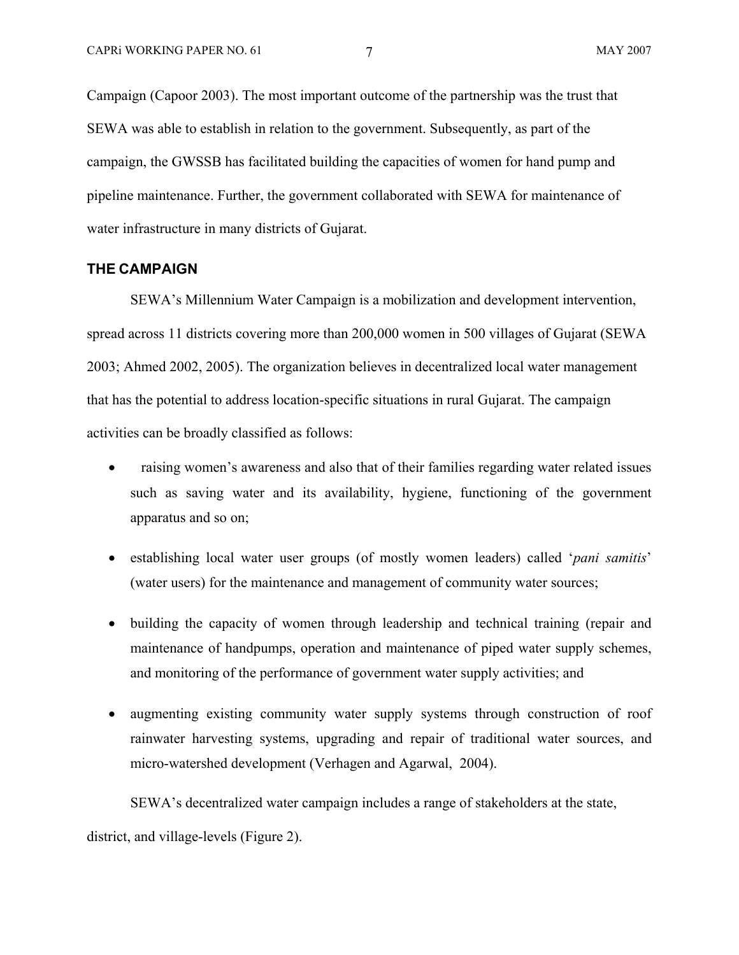Campaign (Capoor 2003). The most important outcome of the partnership was the trust that SEWA was able to establish in relation to the government. Subsequently, as part of the campaign, the GWSSB has facilitated building the capacities of women for hand pump and pipeline maintenance. Further, the government collaborated with SEWA for maintenance of water infrastructure in many districts of Gujarat.

### **THE CAMPAIGN**

SEWA's Millennium Water Campaign is a mobilization and development intervention, spread across 11 districts covering more than 200,000 women in 500 villages of Gujarat (SEWA 2003; Ahmed 2002, 2005). The organization believes in decentralized local water management that has the potential to address location-specific situations in rural Gujarat. The campaign activities can be broadly classified as follows:

- raising women's awareness and also that of their families regarding water related issues such as saving water and its availability, hygiene, functioning of the government apparatus and so on;
- establishing local water user groups (of mostly women leaders) called '*pani samitis*' (water users) for the maintenance and management of community water sources;
- building the capacity of women through leadership and technical training (repair and maintenance of handpumps, operation and maintenance of piped water supply schemes, and monitoring of the performance of government water supply activities; and
- augmenting existing community water supply systems through construction of roof rainwater harvesting systems, upgrading and repair of traditional water sources, and micro-watershed development (Verhagen and Agarwal, 2004).

SEWA's decentralized water campaign includes a range of stakeholders at the state,

district, and village-levels (Figure 2).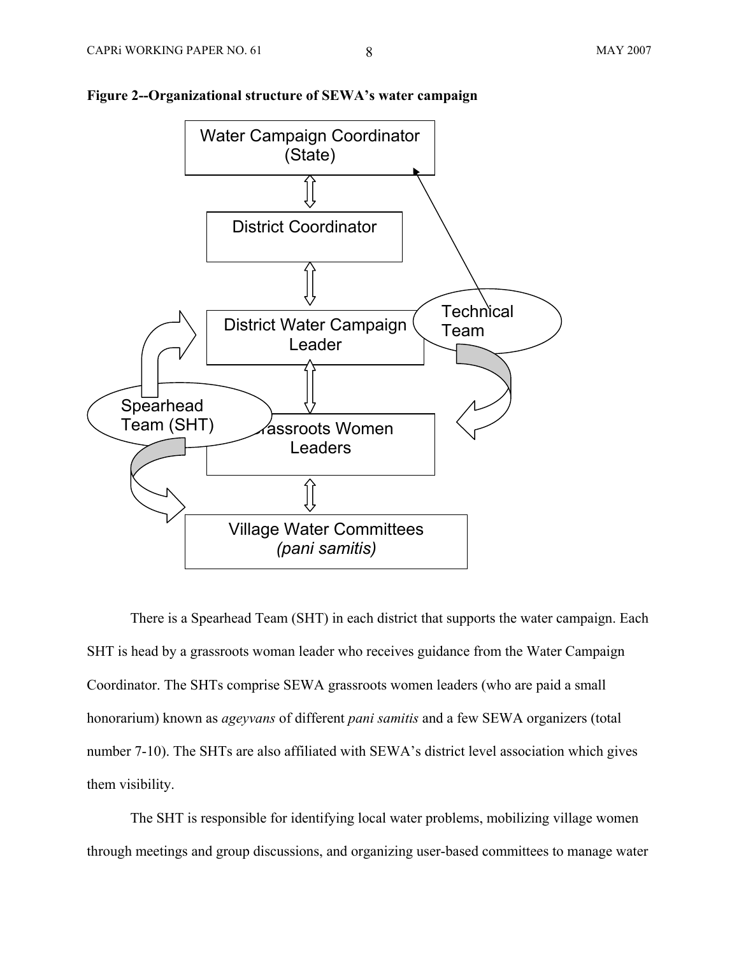

### **Figure 2--Organizational structure of SEWA's water campaign**

There is a Spearhead Team (SHT) in each district that supports the water campaign. Each SHT is head by a grassroots woman leader who receives guidance from the Water Campaign Coordinator. The SHTs comprise SEWA grassroots women leaders (who are paid a small honorarium) known as *ageyvans* of different *pani samitis* and a few SEWA organizers (total number 7-10). The SHTs are also affiliated with SEWA's district level association which gives them visibility.

The SHT is responsible for identifying local water problems, mobilizing village women through meetings and group discussions, and organizing user-based committees to manage water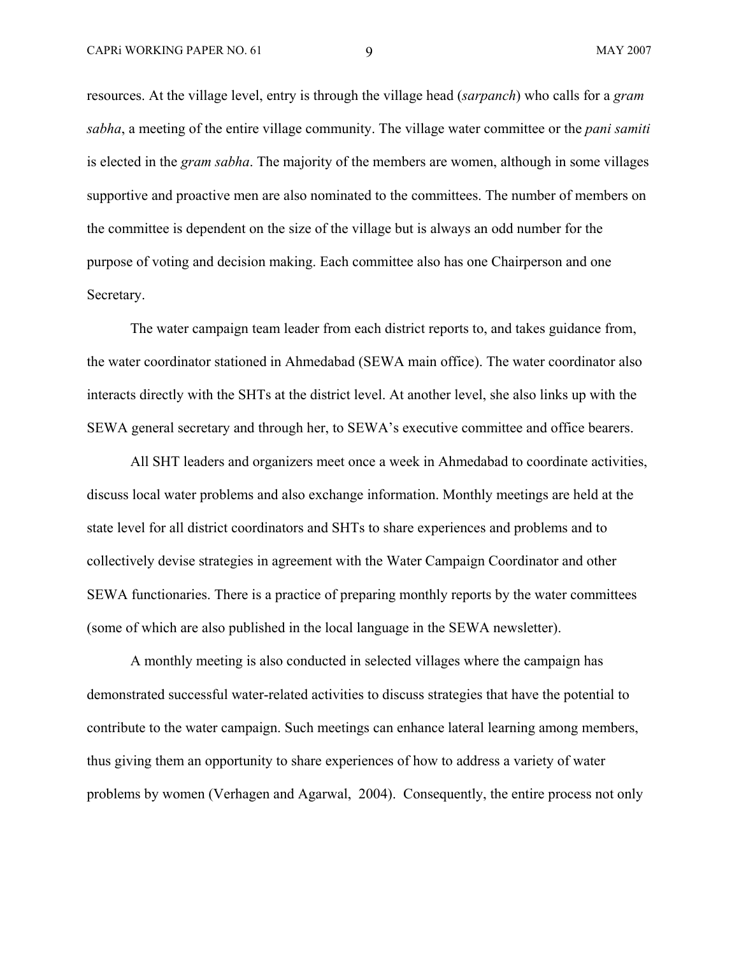resources. At the village level, entry is through the village head (*sarpanch*) who calls for a *gram sabha*, a meeting of the entire village community. The village water committee or the *pani samiti*  is elected in the *gram sabha*. The majority of the members are women, although in some villages supportive and proactive men are also nominated to the committees. The number of members on the committee is dependent on the size of the village but is always an odd number for the purpose of voting and decision making. Each committee also has one Chairperson and one Secretary.

The water campaign team leader from each district reports to, and takes guidance from, the water coordinator stationed in Ahmedabad (SEWA main office). The water coordinator also interacts directly with the SHTs at the district level. At another level, she also links up with the SEWA general secretary and through her, to SEWA's executive committee and office bearers.

All SHT leaders and organizers meet once a week in Ahmedabad to coordinate activities, discuss local water problems and also exchange information. Monthly meetings are held at the state level for all district coordinators and SHTs to share experiences and problems and to collectively devise strategies in agreement with the Water Campaign Coordinator and other SEWA functionaries. There is a practice of preparing monthly reports by the water committees (some of which are also published in the local language in the SEWA newsletter).

A monthly meeting is also conducted in selected villages where the campaign has demonstrated successful water-related activities to discuss strategies that have the potential to contribute to the water campaign. Such meetings can enhance lateral learning among members, thus giving them an opportunity to share experiences of how to address a variety of water problems by women (Verhagen and Agarwal, 2004). Consequently, the entire process not only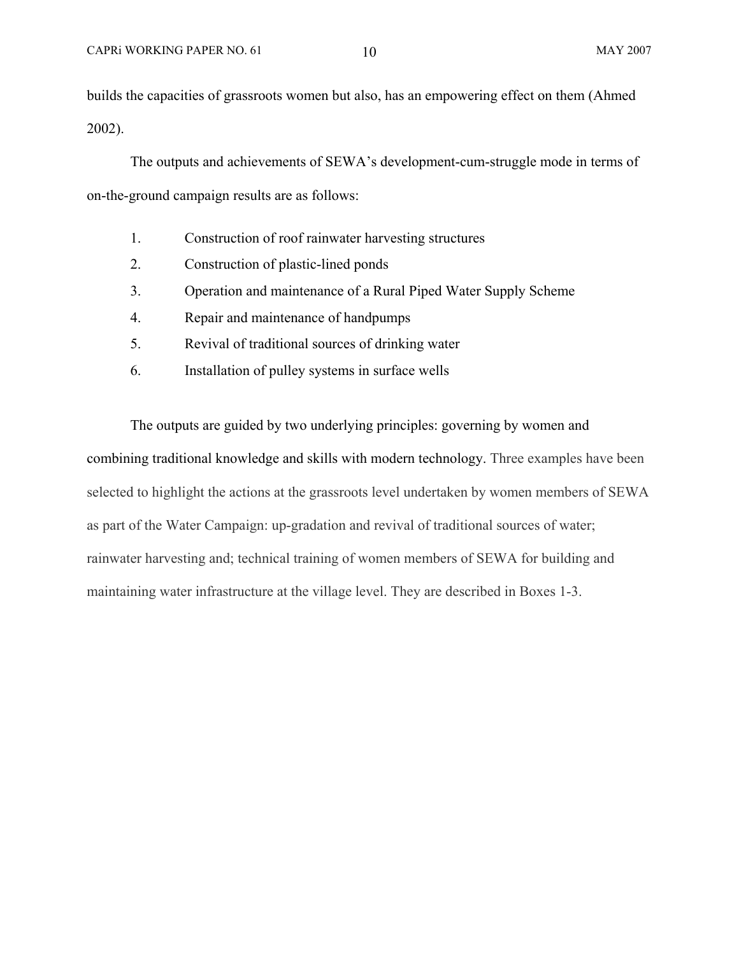builds the capacities of grassroots women but also, has an empowering effect on them (Ahmed 2002).

The outputs and achievements of SEWA's development-cum-struggle mode in terms of on-the-ground campaign results are as follows:

- 1. Construction of roof rainwater harvesting structures
- 2. Construction of plastic-lined ponds
- 3. Operation and maintenance of a Rural Piped Water Supply Scheme
- 4. Repair and maintenance of handpumps
- 5. Revival of traditional sources of drinking water
- 6. Installation of pulley systems in surface wells

The outputs are guided by two underlying principles: governing by women and combining traditional knowledge and skills with modern technology. Three examples have been selected to highlight the actions at the grassroots level undertaken by women members of SEWA as part of the Water Campaign: up-gradation and revival of traditional sources of water; rainwater harvesting and; technical training of women members of SEWA for building and maintaining water infrastructure at the village level. They are described in Boxes 1-3.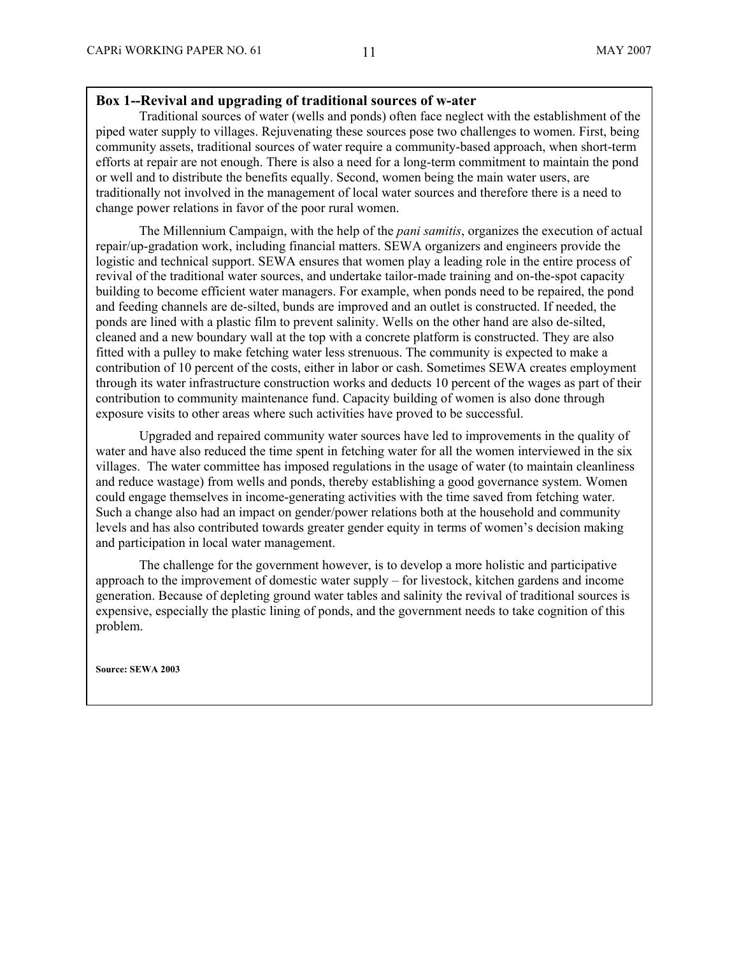### **Box 1--Revival and upgrading of traditional sources of w-ater**

Traditional sources of water (wells and ponds) often face neglect with the establishment of the piped water supply to villages. Rejuvenating these sources pose two challenges to women. First, being community assets, traditional sources of water require a community-based approach, when short-term efforts at repair are not enough. There is also a need for a long-term commitment to maintain the pond or well and to distribute the benefits equally. Second, women being the main water users, are traditionally not involved in the management of local water sources and therefore there is a need to change power relations in favor of the poor rural women.

The Millennium Campaign, with the help of the *pani samitis*, organizes the execution of actual repair/up-gradation work, including financial matters. SEWA organizers and engineers provide the logistic and technical support. SEWA ensures that women play a leading role in the entire process of revival of the traditional water sources, and undertake tailor-made training and on-the-spot capacity building to become efficient water managers. For example, when ponds need to be repaired, the pond and feeding channels are de-silted, bunds are improved and an outlet is constructed. If needed, the ponds are lined with a plastic film to prevent salinity. Wells on the other hand are also de-silted, cleaned and a new boundary wall at the top with a concrete platform is constructed. They are also fitted with a pulley to make fetching water less strenuous. The community is expected to make a contribution of 10 percent of the costs, either in labor or cash. Sometimes SEWA creates employment through its water infrastructure construction works and deducts 10 percent of the wages as part of their contribution to community maintenance fund. Capacity building of women is also done through exposure visits to other areas where such activities have proved to be successful.

Upgraded and repaired community water sources have led to improvements in the quality of water and have also reduced the time spent in fetching water for all the women interviewed in the six villages. The water committee has imposed regulations in the usage of water (to maintain cleanliness and reduce wastage) from wells and ponds, thereby establishing a good governance system. Women could engage themselves in income-generating activities with the time saved from fetching water. Such a change also had an impact on gender/power relations both at the household and community levels and has also contributed towards greater gender equity in terms of women's decision making and participation in local water management.

The challenge for the government however, is to develop a more holistic and participative approach to the improvement of domestic water supply – for livestock, kitchen gardens and income generation. Because of depleting ground water tables and salinity the revival of traditional sources is expensive, especially the plastic lining of ponds, and the government needs to take cognition of this problem.

**Source: SEWA 2003**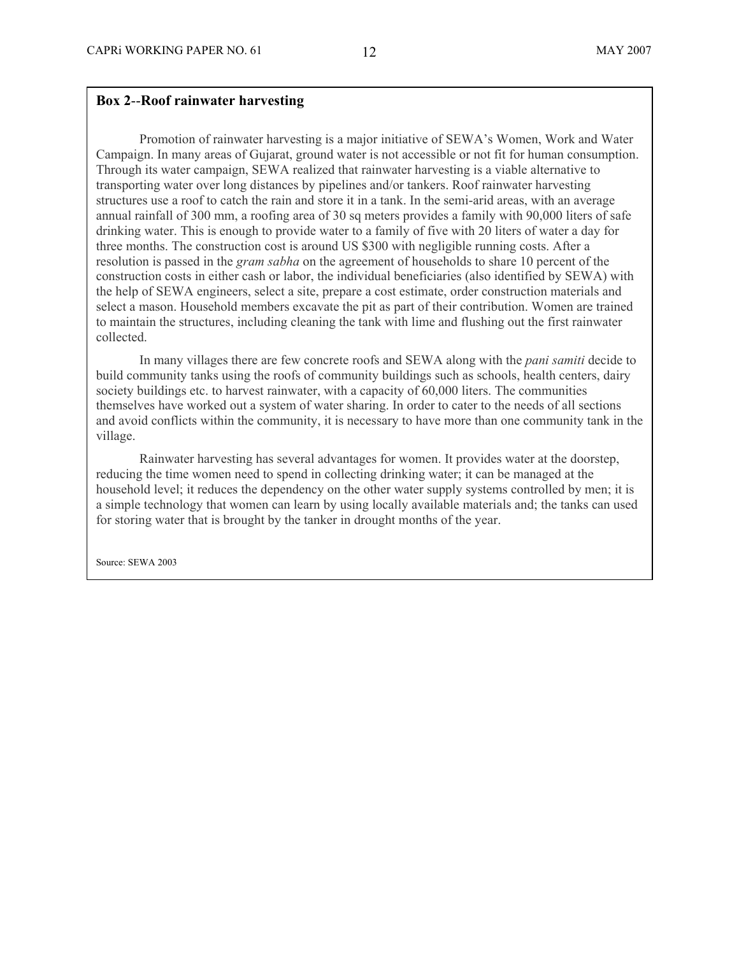### **Box 2**--**Roof rainwater harvesting**

Promotion of rainwater harvesting is a major initiative of SEWA's Women, Work and Water Campaign. In many areas of Gujarat, ground water is not accessible or not fit for human consumption. Through its water campaign, SEWA realized that rainwater harvesting is a viable alternative to transporting water over long distances by pipelines and/or tankers. Roof rainwater harvesting structures use a roof to catch the rain and store it in a tank. In the semi-arid areas, with an average annual rainfall of 300 mm, a roofing area of 30 sq meters provides a family with 90,000 liters of safe drinking water. This is enough to provide water to a family of five with 20 liters of water a day for three months. The construction cost is around US \$300 with negligible running costs. After a resolution is passed in the *gram sabha* on the agreement of households to share 10 percent of the construction costs in either cash or labor, the individual beneficiaries (also identified by SEWA) with the help of SEWA engineers, select a site, prepare a cost estimate, order construction materials and select a mason. Household members excavate the pit as part of their contribution. Women are trained to maintain the structures, including cleaning the tank with lime and flushing out the first rainwater collected.

In many villages there are few concrete roofs and SEWA along with the *pani samiti* decide to build community tanks using the roofs of community buildings such as schools, health centers, dairy society buildings etc. to harvest rainwater, with a capacity of 60,000 liters. The communities themselves have worked out a system of water sharing. In order to cater to the needs of all sections and avoid conflicts within the community, it is necessary to have more than one community tank in the village.

Rainwater harvesting has several advantages for women. It provides water at the doorstep, reducing the time women need to spend in collecting drinking water; it can be managed at the household level; it reduces the dependency on the other water supply systems controlled by men; it is a simple technology that women can learn by using locally available materials and; the tanks can used for storing water that is brought by the tanker in drought months of the year.

Source: SEWA 2003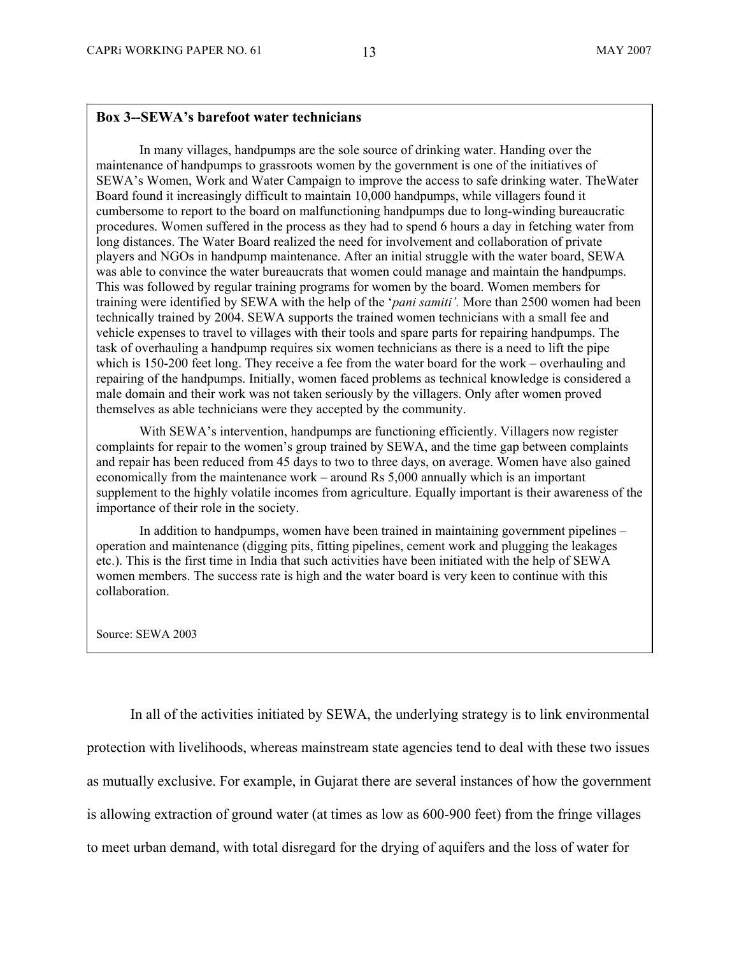#### **Box 3--SEWA's barefoot water technicians**

In many villages, handpumps are the sole source of drinking water. Handing over the maintenance of handpumps to grassroots women by the government is one of the initiatives of SEWA's Women, Work and Water Campaign to improve the access to safe drinking water. TheWater Board found it increasingly difficult to maintain 10,000 handpumps, while villagers found it cumbersome to report to the board on malfunctioning handpumps due to long-winding bureaucratic procedures. Women suffered in the process as they had to spend 6 hours a day in fetching water from long distances. The Water Board realized the need for involvement and collaboration of private players and NGOs in handpump maintenance. After an initial struggle with the water board, SEWA was able to convince the water bureaucrats that women could manage and maintain the handpumps. This was followed by regular training programs for women by the board. Women members for training were identified by SEWA with the help of the '*pani samiti'.* More than 2500 women had been technically trained by 2004. SEWA supports the trained women technicians with a small fee and vehicle expenses to travel to villages with their tools and spare parts for repairing handpumps. The task of overhauling a handpump requires six women technicians as there is a need to lift the pipe which is 150-200 feet long. They receive a fee from the water board for the work – overhauling and repairing of the handpumps. Initially, women faced problems as technical knowledge is considered a male domain and their work was not taken seriously by the villagers. Only after women proved themselves as able technicians were they accepted by the community.

With SEWA's intervention, handpumps are functioning efficiently. Villagers now register complaints for repair to the women's group trained by SEWA, and the time gap between complaints and repair has been reduced from 45 days to two to three days, on average. Women have also gained economically from the maintenance work – around Rs 5,000 annually which is an important supplement to the highly volatile incomes from agriculture. Equally important is their awareness of the importance of their role in the society.

In addition to handpumps, women have been trained in maintaining government pipelines – operation and maintenance (digging pits, fitting pipelines, cement work and plugging the leakages etc.). This is the first time in India that such activities have been initiated with the help of SEWA women members. The success rate is high and the water board is very keen to continue with this collaboration.

Source: SEWA 2003

In all of the activities initiated by SEWA, the underlying strategy is to link environmental protection with livelihoods, whereas mainstream state agencies tend to deal with these two issues as mutually exclusive. For example, in Gujarat there are several instances of how the government is allowing extraction of ground water (at times as low as 600-900 feet) from the fringe villages to meet urban demand, with total disregard for the drying of aquifers and the loss of water for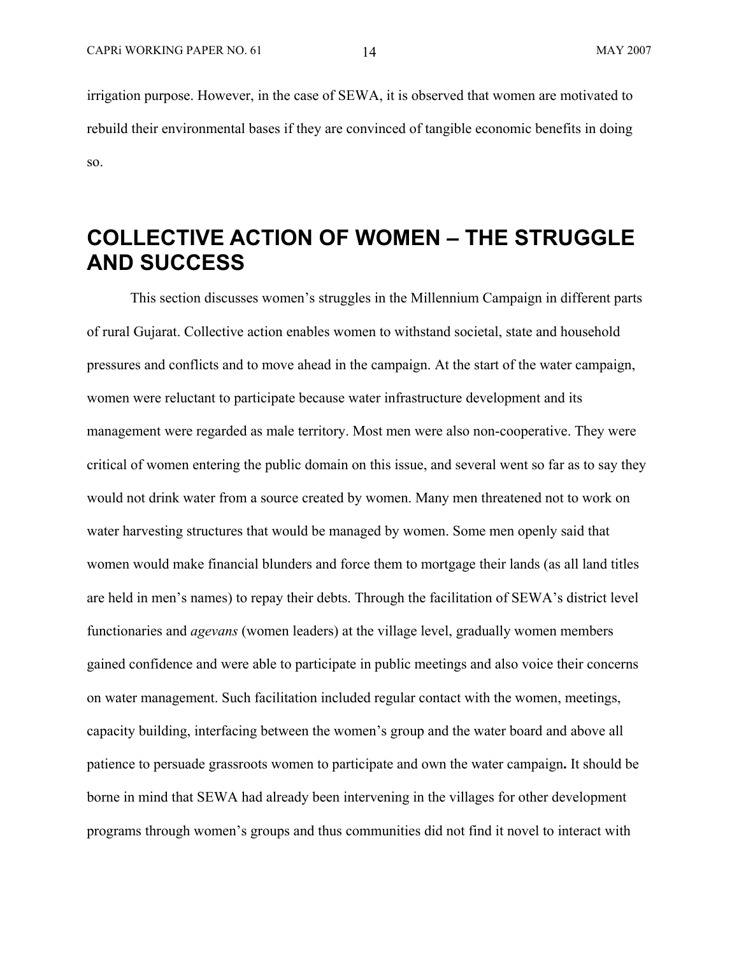irrigation purpose. However, in the case of SEWA, it is observed that women are motivated to rebuild their environmental bases if they are convinced of tangible economic benefits in doing so.

# **COLLECTIVE ACTION OF WOMEN – THE STRUGGLE AND SUCCESS**

This section discusses women's struggles in the Millennium Campaign in different parts of rural Gujarat. Collective action enables women to withstand societal, state and household pressures and conflicts and to move ahead in the campaign. At the start of the water campaign, women were reluctant to participate because water infrastructure development and its management were regarded as male territory. Most men were also non-cooperative. They were critical of women entering the public domain on this issue, and several went so far as to say they would not drink water from a source created by women. Many men threatened not to work on water harvesting structures that would be managed by women. Some men openly said that women would make financial blunders and force them to mortgage their lands (as all land titles are held in men's names) to repay their debts. Through the facilitation of SEWA's district level functionaries and *agevans* (women leaders) at the village level, gradually women members gained confidence and were able to participate in public meetings and also voice their concerns on water management. Such facilitation included regular contact with the women, meetings, capacity building, interfacing between the women's group and the water board and above all patience to persuade grassroots women to participate and own the water campaign**.** It should be borne in mind that SEWA had already been intervening in the villages for other development programs through women's groups and thus communities did not find it novel to interact with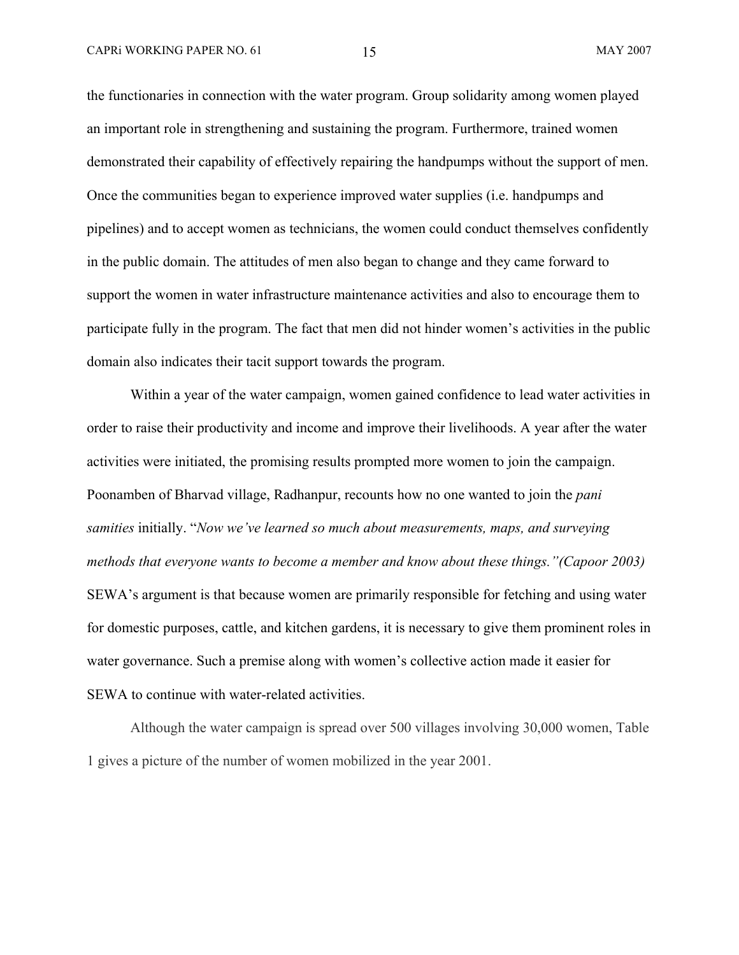the functionaries in connection with the water program. Group solidarity among women played an important role in strengthening and sustaining the program. Furthermore, trained women demonstrated their capability of effectively repairing the handpumps without the support of men. Once the communities began to experience improved water supplies (i.e. handpumps and pipelines) and to accept women as technicians, the women could conduct themselves confidently in the public domain. The attitudes of men also began to change and they came forward to support the women in water infrastructure maintenance activities and also to encourage them to participate fully in the program. The fact that men did not hinder women's activities in the public domain also indicates their tacit support towards the program.

Within a year of the water campaign, women gained confidence to lead water activities in order to raise their productivity and income and improve their livelihoods. A year after the water activities were initiated, the promising results prompted more women to join the campaign. Poonamben of Bharvad village, Radhanpur, recounts how no one wanted to join the *pani samities* initially. "*Now we've learned so much about measurements, maps, and surveying methods that everyone wants to become a member and know about these things."(Capoor 2003)* SEWA's argument is that because women are primarily responsible for fetching and using water for domestic purposes, cattle, and kitchen gardens, it is necessary to give them prominent roles in water governance. Such a premise along with women's collective action made it easier for SEWA to continue with water-related activities.

Although the water campaign is spread over 500 villages involving 30,000 women, Table 1 gives a picture of the number of women mobilized in the year 2001.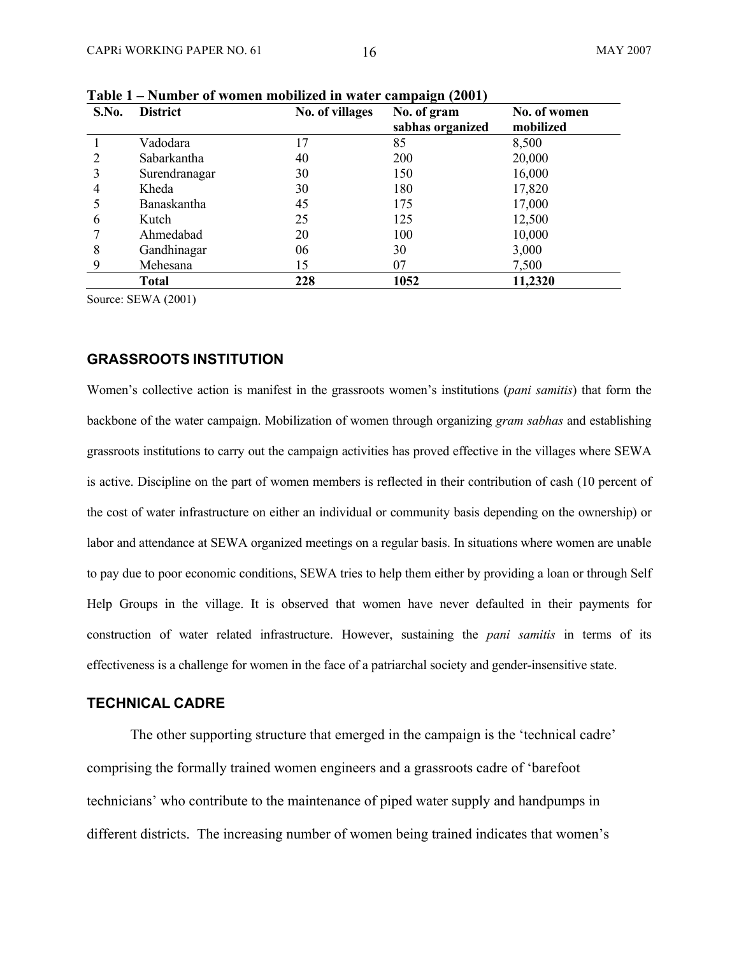| S.No. | <b>District</b>    | No. of villages | No. of gram<br>sabhas organized | No. of women<br>mobilized |
|-------|--------------------|-----------------|---------------------------------|---------------------------|
|       | Vadodara           | 17              | 85                              | 8,500                     |
|       | Sabarkantha        | 40              | <b>200</b>                      | 20,000                    |
| 3     | Surendranagar      | 30              | 150                             | 16,000                    |
| 4     | Kheda              | 30              | 180                             | 17,820                    |
|       | <b>Banaskantha</b> | 45              | 175                             | 17,000                    |
| 6     | Kutch              | 25              | 125                             | 12,500                    |
|       | Ahmedabad          | 20              | 100                             | 10,000                    |
| 8     | Gandhinagar        | 06              | 30                              | 3,000                     |
| 9     | Mehesana           | 15              | 07                              | 7,500                     |
|       | Total              | 228             | 1052                            | 11,2320                   |

**Table 1 – Number of women mobilized in water campaign (2001)** 

Source: SEWA (2001)

#### **GRASSROOTS INSTITUTION**

Women's collective action is manifest in the grassroots women's institutions (*pani samitis*) that form the backbone of the water campaign. Mobilization of women through organizing *gram sabhas* and establishing grassroots institutions to carry out the campaign activities has proved effective in the villages where SEWA is active. Discipline on the part of women members is reflected in their contribution of cash (10 percent of the cost of water infrastructure on either an individual or community basis depending on the ownership) or labor and attendance at SEWA organized meetings on a regular basis. In situations where women are unable to pay due to poor economic conditions, SEWA tries to help them either by providing a loan or through Self Help Groups in the village. It is observed that women have never defaulted in their payments for construction of water related infrastructure. However, sustaining the *pani samitis* in terms of its effectiveness is a challenge for women in the face of a patriarchal society and gender-insensitive state.

### **TECHNICAL CADRE**

The other supporting structure that emerged in the campaign is the 'technical cadre' comprising the formally trained women engineers and a grassroots cadre of 'barefoot technicians' who contribute to the maintenance of piped water supply and handpumps in different districts. The increasing number of women being trained indicates that women's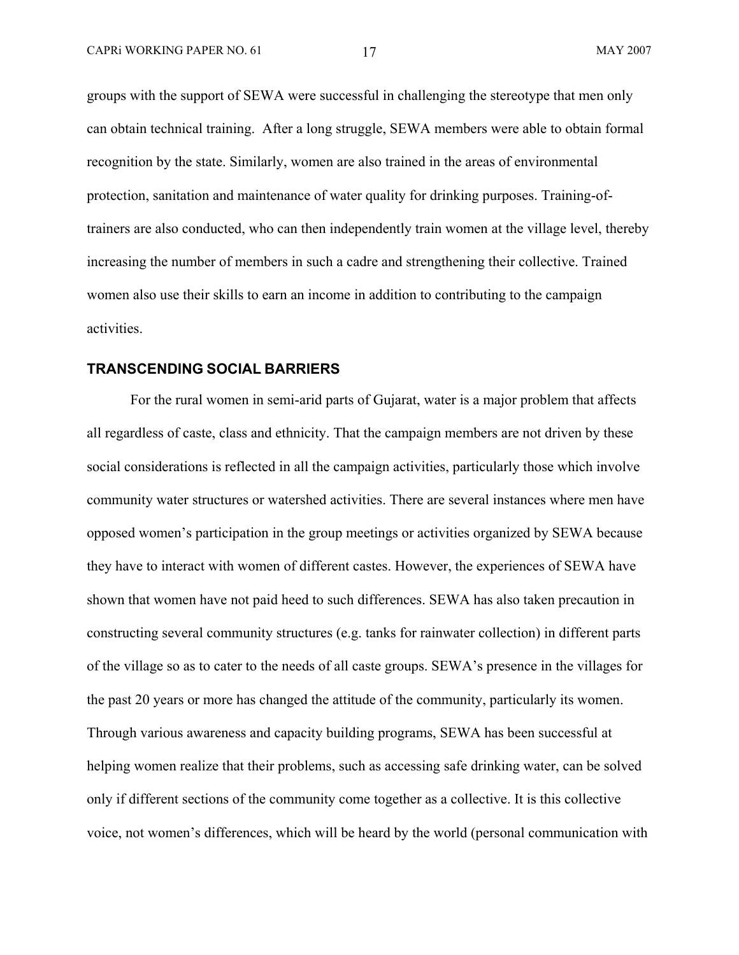groups with the support of SEWA were successful in challenging the stereotype that men only can obtain technical training. After a long struggle, SEWA members were able to obtain formal recognition by the state. Similarly, women are also trained in the areas of environmental protection, sanitation and maintenance of water quality for drinking purposes. Training-oftrainers are also conducted, who can then independently train women at the village level, thereby increasing the number of members in such a cadre and strengthening their collective. Trained women also use their skills to earn an income in addition to contributing to the campaign activities.

### **TRANSCENDING SOCIAL BARRIERS**

For the rural women in semi-arid parts of Gujarat, water is a major problem that affects all regardless of caste, class and ethnicity. That the campaign members are not driven by these social considerations is reflected in all the campaign activities, particularly those which involve community water structures or watershed activities. There are several instances where men have opposed women's participation in the group meetings or activities organized by SEWA because they have to interact with women of different castes. However, the experiences of SEWA have shown that women have not paid heed to such differences. SEWA has also taken precaution in constructing several community structures (e.g. tanks for rainwater collection) in different parts of the village so as to cater to the needs of all caste groups. SEWA's presence in the villages for the past 20 years or more has changed the attitude of the community, particularly its women. Through various awareness and capacity building programs, SEWA has been successful at helping women realize that their problems, such as accessing safe drinking water, can be solved only if different sections of the community come together as a collective. It is this collective voice, not women's differences, which will be heard by the world (personal communication with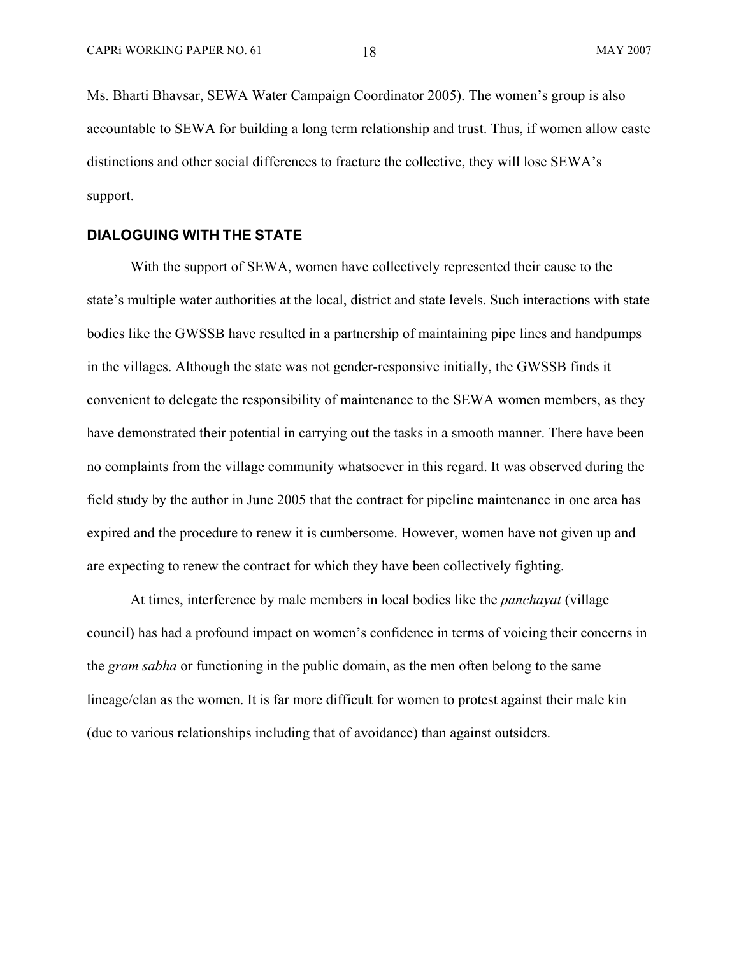Ms. Bharti Bhavsar, SEWA Water Campaign Coordinator 2005). The women's group is also accountable to SEWA for building a long term relationship and trust. Thus, if women allow caste distinctions and other social differences to fracture the collective, they will lose SEWA's support.

### **DIALOGUING WITH THE STATE**

With the support of SEWA, women have collectively represented their cause to the state's multiple water authorities at the local, district and state levels. Such interactions with state bodies like the GWSSB have resulted in a partnership of maintaining pipe lines and handpumps in the villages. Although the state was not gender-responsive initially, the GWSSB finds it convenient to delegate the responsibility of maintenance to the SEWA women members, as they have demonstrated their potential in carrying out the tasks in a smooth manner. There have been no complaints from the village community whatsoever in this regard. It was observed during the field study by the author in June 2005 that the contract for pipeline maintenance in one area has expired and the procedure to renew it is cumbersome. However, women have not given up and are expecting to renew the contract for which they have been collectively fighting.

At times, interference by male members in local bodies like the *panchayat* (village council) has had a profound impact on women's confidence in terms of voicing their concerns in the *gram sabha* or functioning in the public domain, as the men often belong to the same lineage/clan as the women. It is far more difficult for women to protest against their male kin (due to various relationships including that of avoidance) than against outsiders.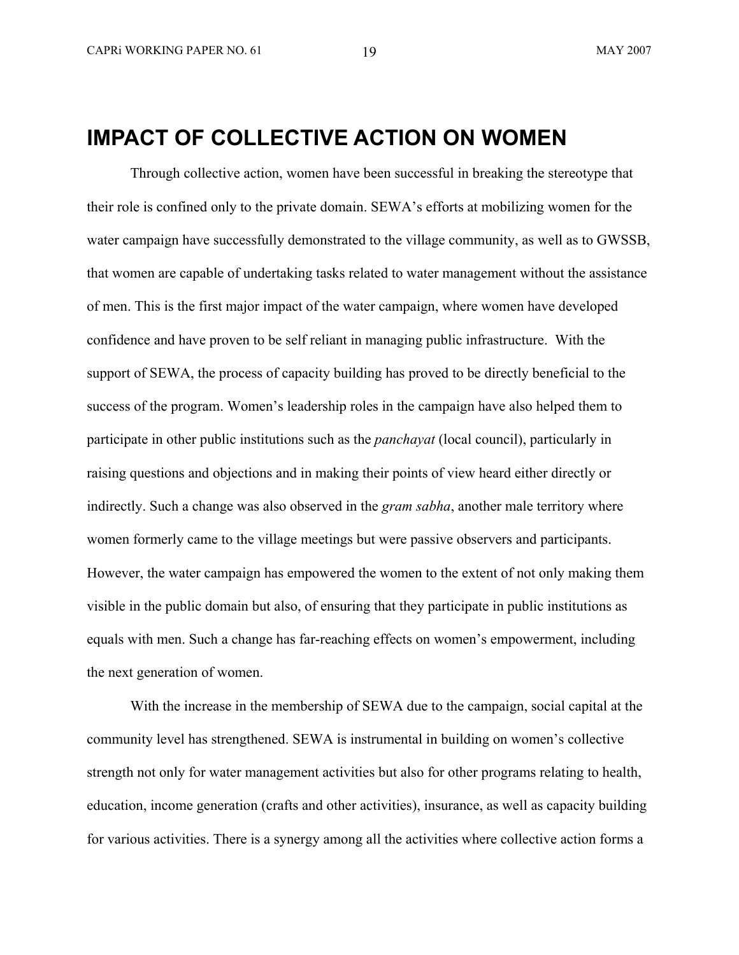## **IMPACT OF COLLECTIVE ACTION ON WOMEN**

Through collective action, women have been successful in breaking the stereotype that their role is confined only to the private domain. SEWA's efforts at mobilizing women for the water campaign have successfully demonstrated to the village community, as well as to GWSSB, that women are capable of undertaking tasks related to water management without the assistance of men. This is the first major impact of the water campaign, where women have developed confidence and have proven to be self reliant in managing public infrastructure. With the support of SEWA, the process of capacity building has proved to be directly beneficial to the success of the program. Women's leadership roles in the campaign have also helped them to participate in other public institutions such as the *panchayat* (local council), particularly in raising questions and objections and in making their points of view heard either directly or indirectly. Such a change was also observed in the *gram sabha*, another male territory where women formerly came to the village meetings but were passive observers and participants. However, the water campaign has empowered the women to the extent of not only making them visible in the public domain but also, of ensuring that they participate in public institutions as equals with men. Such a change has far-reaching effects on women's empowerment, including the next generation of women.

With the increase in the membership of SEWA due to the campaign, social capital at the community level has strengthened. SEWA is instrumental in building on women's collective strength not only for water management activities but also for other programs relating to health, education, income generation (crafts and other activities), insurance, as well as capacity building for various activities. There is a synergy among all the activities where collective action forms a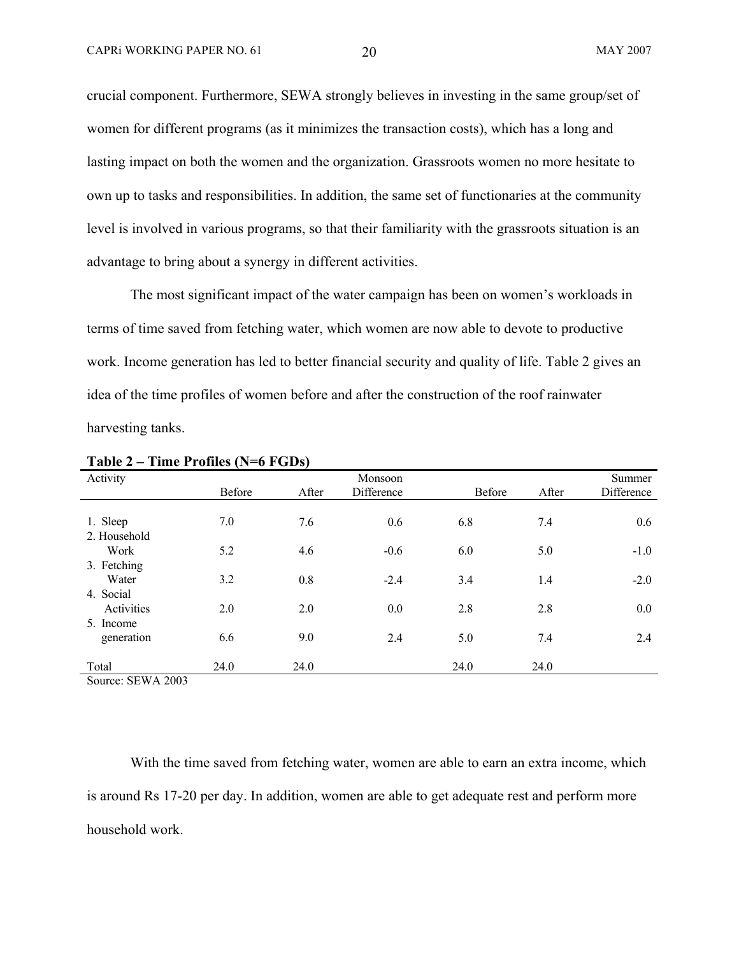crucial component. Furthermore, SEWA strongly believes in investing in the same group/set of women for different programs (as it minimizes the transaction costs), which has a long and lasting impact on both the women and the organization. Grassroots women no more hesitate to own up to tasks and responsibilities. In addition, the same set of functionaries at the community level is involved in various programs, so that their familiarity with the grassroots situation is an advantage to bring about a synergy in different activities.

The most significant impact of the water campaign has been on women's workloads in terms of time saved from fetching water, which women are now able to devote to productive work. Income generation has led to better financial security and quality of life. Table 2 gives an idea of the time profiles of women before and after the construction of the roof rainwater harvesting tanks.

| Activity     | Before | After | Monsoon<br>Difference | <b>Before</b> | After | Summer<br>Difference |
|--------------|--------|-------|-----------------------|---------------|-------|----------------------|
|              |        |       |                       |               |       |                      |
| 1. Sleep     | 7.0    | 7.6   | 0.6                   | 6.8           | 7.4   | 0.6                  |
| 2. Household |        |       |                       |               |       |                      |
| Work         | 5.2    | 4.6   | $-0.6$                | 6.0           | 5.0   | $-1.0$               |
| 3. Fetching  |        |       |                       |               |       |                      |
| Water        | 3.2    | 0.8   | $-2.4$                | 3.4           | 1.4   | $-2.0$               |
| 4. Social    |        |       |                       |               |       |                      |
| Activities   | 2.0    | 2.0   | 0.0                   | 2.8           | 2.8   | 0.0                  |
| 5. Income    |        |       |                       |               |       |                      |
| generation   | 6.6    | 9.0   | 2.4                   | 5.0           | 7.4   | 2.4                  |
|              |        |       |                       |               |       |                      |
| Total        | 24.0   | 24.0  |                       | 24.0          | 24.0  |                      |

**Table 2 – Time Profiles (N=6 FGDs)** 

Source: SEWA 2003

With the time saved from fetching water, women are able to earn an extra income, which is around Rs 17-20 per day. In addition, women are able to get adequate rest and perform more household work.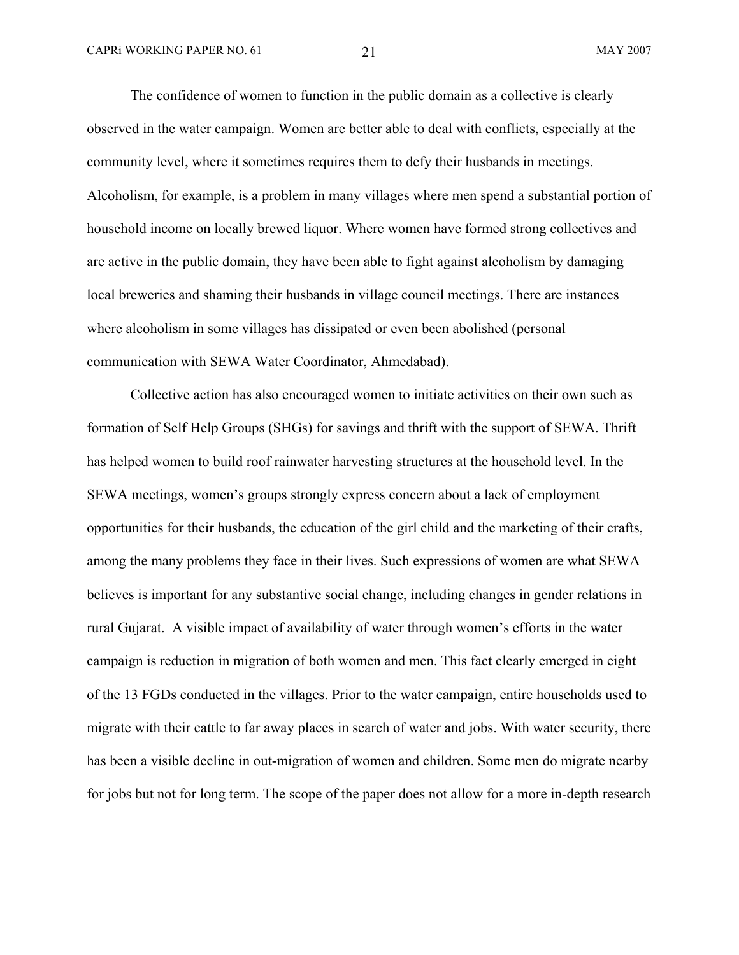The confidence of women to function in the public domain as a collective is clearly observed in the water campaign. Women are better able to deal with conflicts, especially at the community level, where it sometimes requires them to defy their husbands in meetings. Alcoholism, for example, is a problem in many villages where men spend a substantial portion of household income on locally brewed liquor. Where women have formed strong collectives and are active in the public domain, they have been able to fight against alcoholism by damaging local breweries and shaming their husbands in village council meetings. There are instances where alcoholism in some villages has dissipated or even been abolished (personal communication with SEWA Water Coordinator, Ahmedabad).

Collective action has also encouraged women to initiate activities on their own such as formation of Self Help Groups (SHGs) for savings and thrift with the support of SEWA. Thrift has helped women to build roof rainwater harvesting structures at the household level. In the SEWA meetings, women's groups strongly express concern about a lack of employment opportunities for their husbands, the education of the girl child and the marketing of their crafts, among the many problems they face in their lives. Such expressions of women are what SEWA believes is important for any substantive social change, including changes in gender relations in rural Gujarat. A visible impact of availability of water through women's efforts in the water campaign is reduction in migration of both women and men. This fact clearly emerged in eight of the 13 FGDs conducted in the villages. Prior to the water campaign, entire households used to migrate with their cattle to far away places in search of water and jobs. With water security, there has been a visible decline in out-migration of women and children. Some men do migrate nearby for jobs but not for long term. The scope of the paper does not allow for a more in-depth research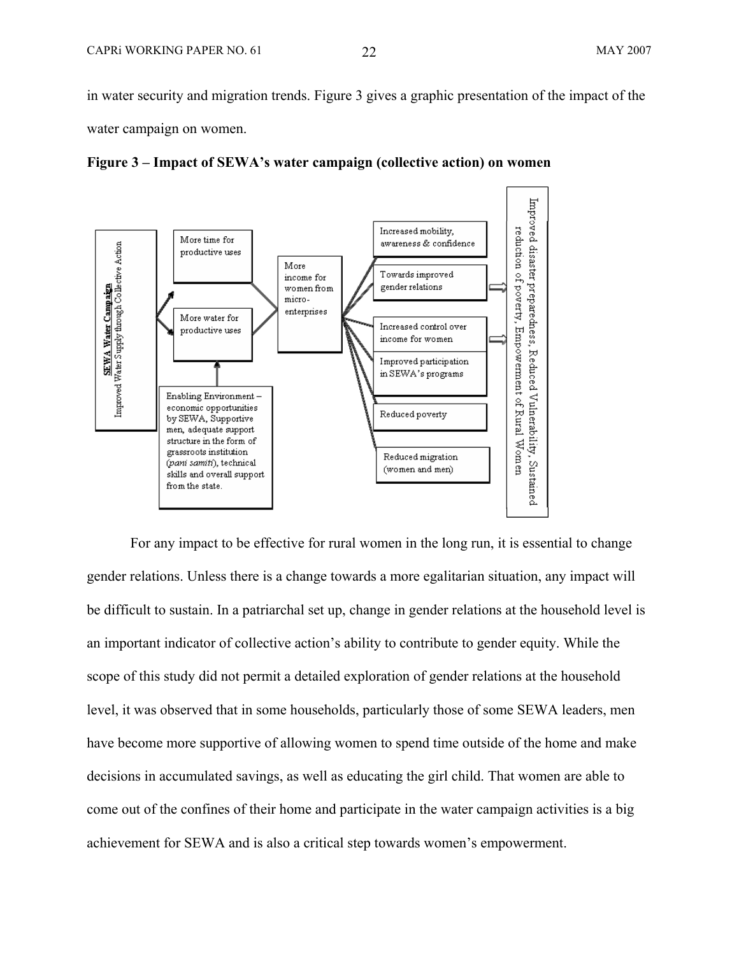in water security and migration trends. Figure 3 gives a graphic presentation of the impact of the water campaign on women.





For any impact to be effective for rural women in the long run, it is essential to change gender relations. Unless there is a change towards a more egalitarian situation, any impact will be difficult to sustain. In a patriarchal set up, change in gender relations at the household level is an important indicator of collective action's ability to contribute to gender equity. While the scope of this study did not permit a detailed exploration of gender relations at the household level, it was observed that in some households, particularly those of some SEWA leaders, men have become more supportive of allowing women to spend time outside of the home and make decisions in accumulated savings, as well as educating the girl child. That women are able to come out of the confines of their home and participate in the water campaign activities is a big achievement for SEWA and is also a critical step towards women's empowerment.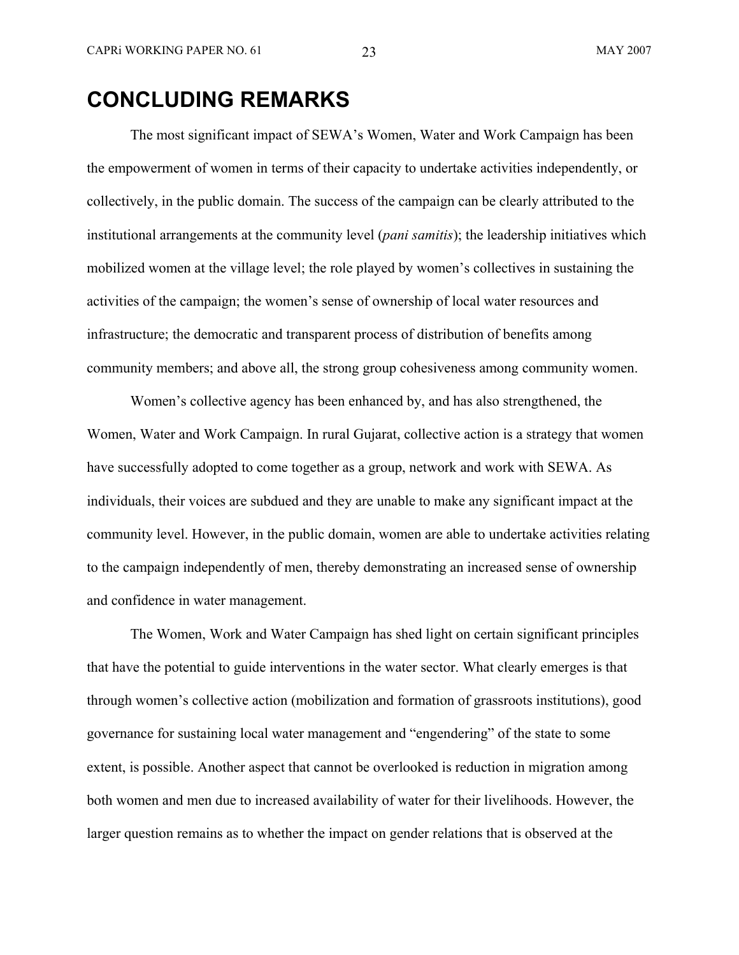# **CONCLUDING REMARKS**

The most significant impact of SEWA's Women, Water and Work Campaign has been the empowerment of women in terms of their capacity to undertake activities independently, or collectively, in the public domain. The success of the campaign can be clearly attributed to the institutional arrangements at the community level (*pani samitis*); the leadership initiatives which mobilized women at the village level; the role played by women's collectives in sustaining the activities of the campaign; the women's sense of ownership of local water resources and infrastructure; the democratic and transparent process of distribution of benefits among community members; and above all, the strong group cohesiveness among community women.

Women's collective agency has been enhanced by, and has also strengthened, the Women, Water and Work Campaign. In rural Gujarat, collective action is a strategy that women have successfully adopted to come together as a group, network and work with SEWA. As individuals, their voices are subdued and they are unable to make any significant impact at the community level. However, in the public domain, women are able to undertake activities relating to the campaign independently of men, thereby demonstrating an increased sense of ownership and confidence in water management.

The Women, Work and Water Campaign has shed light on certain significant principles that have the potential to guide interventions in the water sector. What clearly emerges is that through women's collective action (mobilization and formation of grassroots institutions), good governance for sustaining local water management and "engendering" of the state to some extent, is possible. Another aspect that cannot be overlooked is reduction in migration among both women and men due to increased availability of water for their livelihoods. However, the larger question remains as to whether the impact on gender relations that is observed at the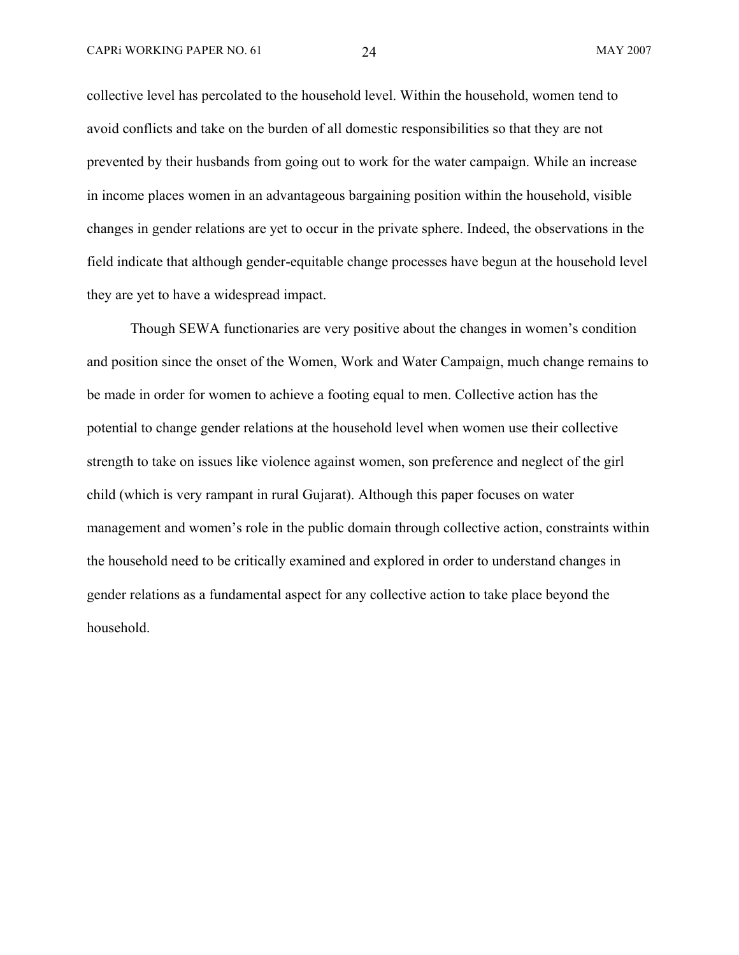collective level has percolated to the household level. Within the household, women tend to avoid conflicts and take on the burden of all domestic responsibilities so that they are not prevented by their husbands from going out to work for the water campaign. While an increase in income places women in an advantageous bargaining position within the household, visible changes in gender relations are yet to occur in the private sphere. Indeed, the observations in the field indicate that although gender-equitable change processes have begun at the household level they are yet to have a widespread impact.

Though SEWA functionaries are very positive about the changes in women's condition and position since the onset of the Women, Work and Water Campaign, much change remains to be made in order for women to achieve a footing equal to men. Collective action has the potential to change gender relations at the household level when women use their collective strength to take on issues like violence against women, son preference and neglect of the girl child (which is very rampant in rural Gujarat). Although this paper focuses on water management and women's role in the public domain through collective action, constraints within the household need to be critically examined and explored in order to understand changes in gender relations as a fundamental aspect for any collective action to take place beyond the household.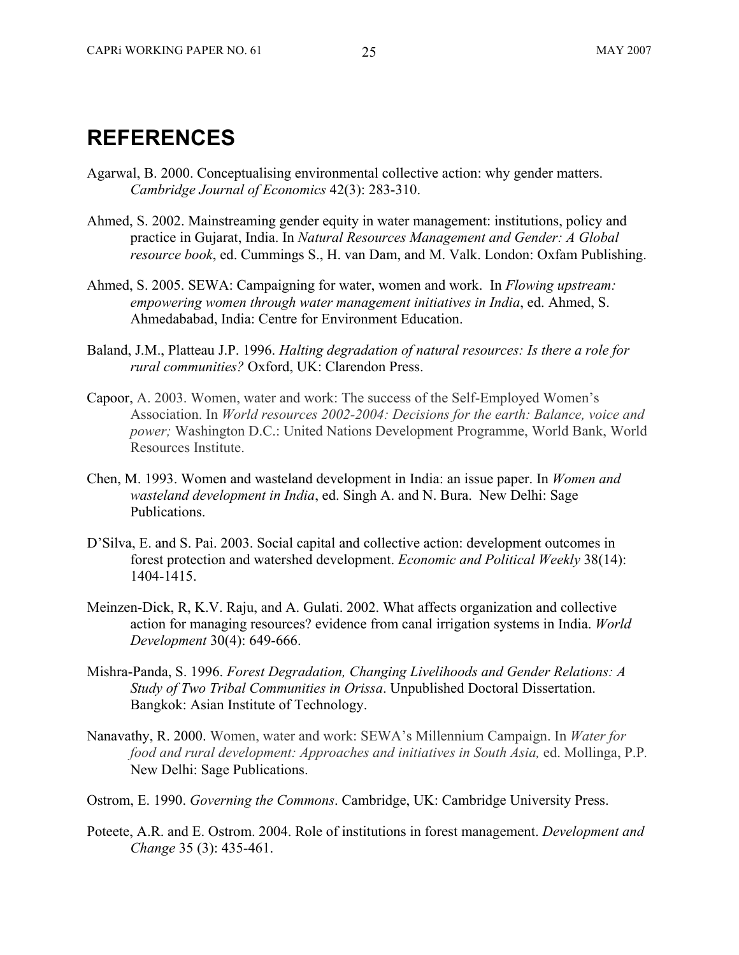## **REFERENCES**

- Agarwal, B. 2000. Conceptualising environmental collective action: why gender matters. *Cambridge Journal of Economics* 42(3): 283-310.
- Ahmed, S. 2002. Mainstreaming gender equity in water management: institutions, policy and practice in Gujarat, India. In *Natural Resources Management and Gender: A Global resource book*, ed. Cummings S., H. van Dam, and M. Valk. London: Oxfam Publishing.
- Ahmed, S. 2005. SEWA: Campaigning for water, women and work. In *Flowing upstream: empowering women through water management initiatives in India*, ed. Ahmed, S. Ahmedababad, India: Centre for Environment Education.
- Baland, J.M., Platteau J.P. 1996. *Halting degradation of natural resources: Is there a role for rural communities?* Oxford, UK: Clarendon Press.
- Capoor, A. 2003. Women, water and work: The success of the Self-Employed Women's Association. In *World resources 2002-2004: Decisions for the earth: Balance, voice and power;* Washington D.C.: United Nations Development Programme, World Bank, World Resources Institute.
- Chen, M. 1993. Women and wasteland development in India: an issue paper. In *Women and wasteland development in India*, ed. Singh A. and N. Bura. New Delhi: Sage Publications.
- D'Silva, E. and S. Pai. 2003. Social capital and collective action: development outcomes in forest protection and watershed development. *Economic and Political Weekly* 38(14): 1404-1415.
- Meinzen-Dick, R, K.V. Raju, and A. Gulati. 2002. What affects organization and collective action for managing resources? evidence from canal irrigation systems in India. *World Development* 30(4): 649-666.
- Mishra-Panda, S. 1996. *Forest Degradation, Changing Livelihoods and Gender Relations: A Study of Two Tribal Communities in Orissa*. Unpublished Doctoral Dissertation. Bangkok: Asian Institute of Technology.
- Nanavathy, R. 2000. Women, water and work: SEWA's Millennium Campaign. In *Water for food and rural development: Approaches and initiatives in South Asia,* ed. Mollinga, P.P*.* New Delhi: Sage Publications.
- Ostrom, E. 1990. *Governing the Commons*. Cambridge, UK: Cambridge University Press.
- Poteete, A.R. and E. Ostrom. 2004. Role of institutions in forest management. *Development and Change* 35 (3): 435-461.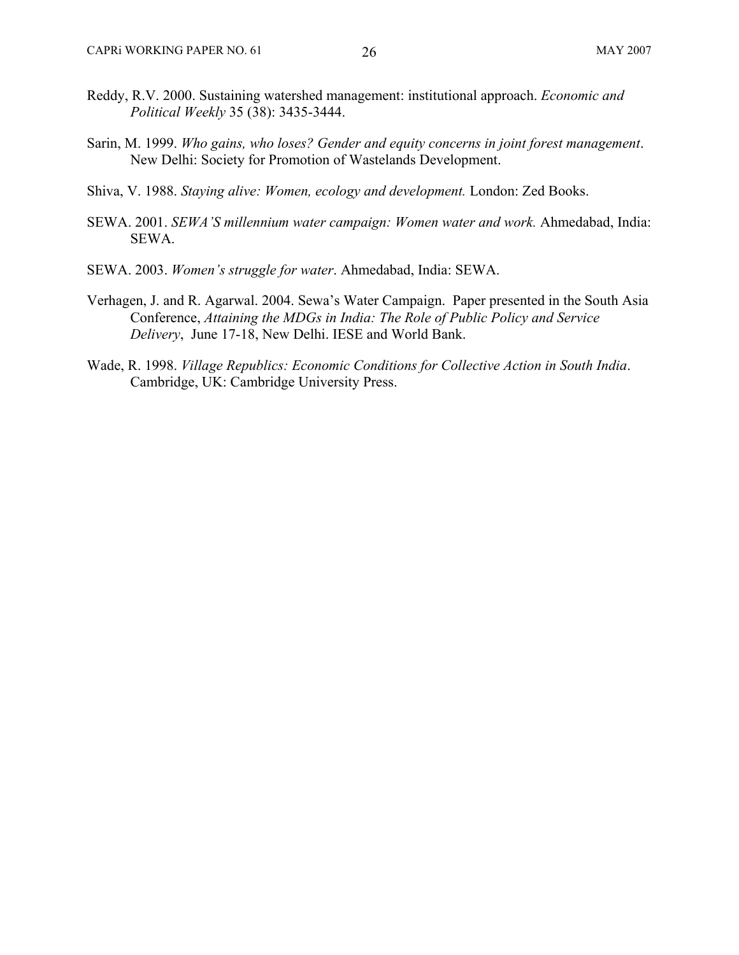- Reddy, R.V. 2000. Sustaining watershed management: institutional approach. *Economic and Political Weekly* 35 (38): 3435-3444.
- Sarin, M. 1999. *Who gains, who loses? Gender and equity concerns in joint forest management*. New Delhi: Society for Promotion of Wastelands Development.
- Shiva, V. 1988. *Staying alive: Women, ecology and development.* London: Zed Books.
- SEWA. 2001. *SEWA'S millennium water campaign: Women water and work.* Ahmedabad, India: SEWA.
- SEWA. 2003. *Women's struggle for water*. Ahmedabad, India: SEWA.
- Verhagen, J. and R. Agarwal. 2004. Sewa's Water Campaign. Paper presented in the South Asia Conference, *Attaining the MDGs in India: The Role of Public Policy and Service Delivery*, June 17-18, New Delhi. IESE and World Bank.
- Wade, R. 1998. *Village Republics: Economic Conditions for Collective Action in South India*. Cambridge, UK: Cambridge University Press.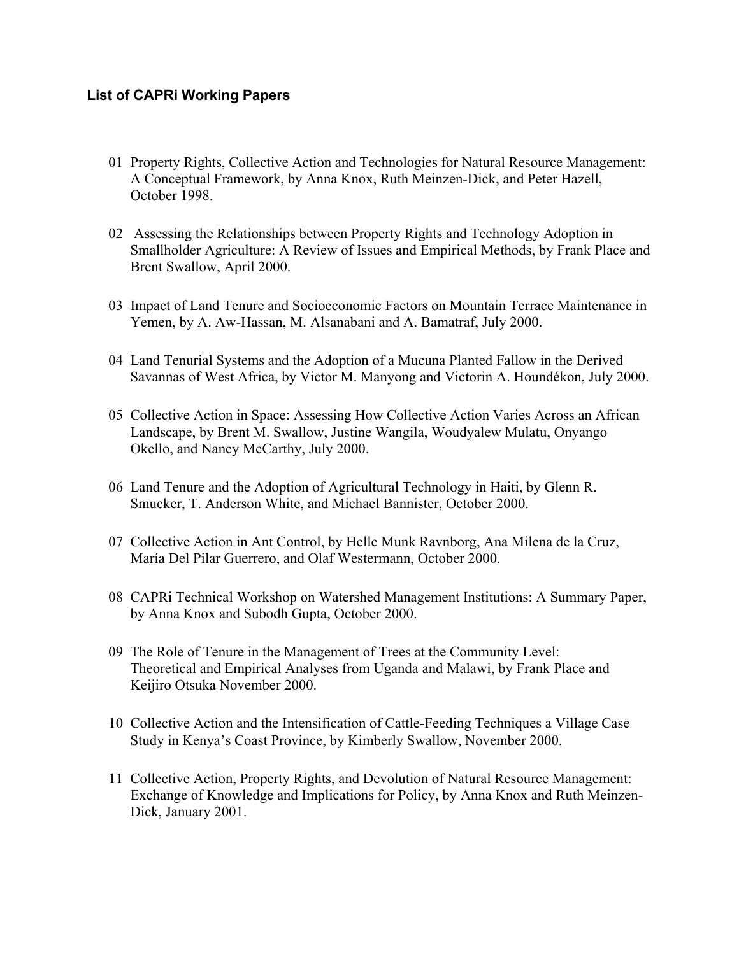### **List of CAPRi Working Papers**

- 01 Property Rights, Collective Action and Technologies for Natural Resource Management: A Conceptual Framework, by Anna Knox, Ruth Meinzen-Dick, and Peter Hazell, October 1998.
- 02 Assessing the Relationships between Property Rights and Technology Adoption in Smallholder Agriculture: A Review of Issues and Empirical Methods, by Frank Place and Brent Swallow, April 2000.
- 03 Impact of Land Tenure and Socioeconomic Factors on Mountain Terrace Maintenance in Yemen, by A. Aw-Hassan, M. Alsanabani and A. Bamatraf, July 2000.
- 04 Land Tenurial Systems and the Adoption of a Mucuna Planted Fallow in the Derived Savannas of West Africa, by Victor M. Manyong and Victorin A. Houndékon, July 2000.
- 05 Collective Action in Space: Assessing How Collective Action Varies Across an African Landscape, by Brent M. Swallow, Justine Wangila, Woudyalew Mulatu, Onyango Okello, and Nancy McCarthy, July 2000.
- 06 Land Tenure and the Adoption of Agricultural Technology in Haiti, by Glenn R. Smucker, T. Anderson White, and Michael Bannister, October 2000.
- 07 Collective Action in Ant Control, by Helle Munk Ravnborg, Ana Milena de la Cruz, María Del Pilar Guerrero, and Olaf Westermann, October 2000.
- 08 CAPRi Technical Workshop on Watershed Management Institutions: A Summary Paper, by Anna Knox and Subodh Gupta, October 2000.
- 09 The Role of Tenure in the Management of Trees at the Community Level: Theoretical and Empirical Analyses from Uganda and Malawi, by Frank Place and Keijiro Otsuka November 2000.
- 10 Collective Action and the Intensification of Cattle-Feeding Techniques a Village Case Study in Kenya's Coast Province, by Kimberly Swallow, November 2000.
- 11 Collective Action, Property Rights, and Devolution of Natural Resource Management: Exchange of Knowledge and Implications for Policy, by Anna Knox and Ruth Meinzen-Dick, January 2001.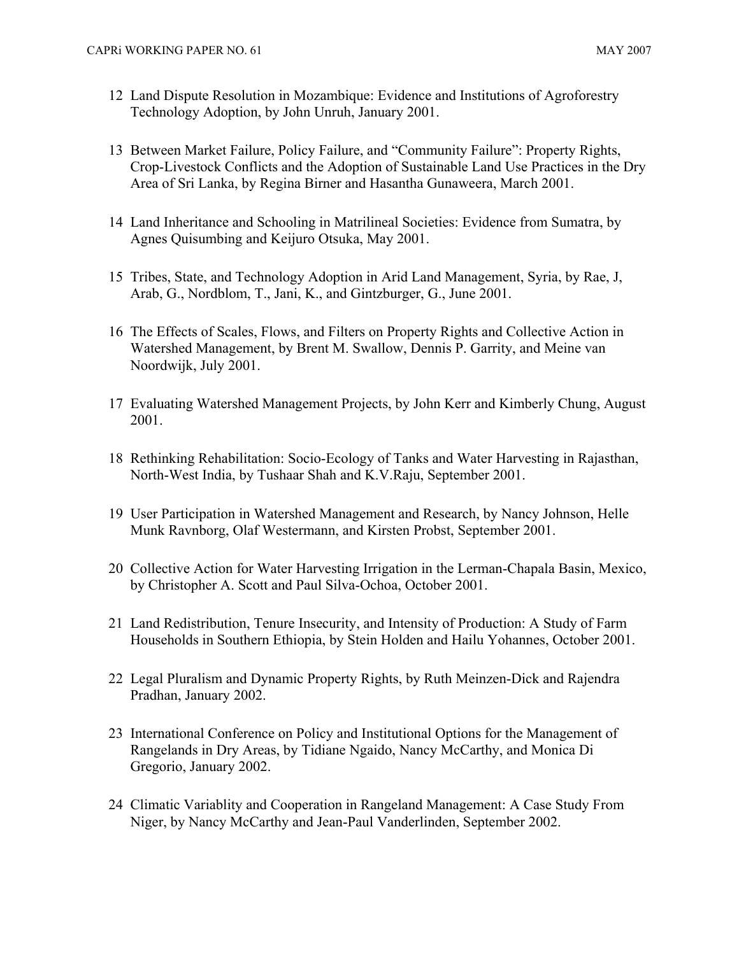- 12 Land Dispute Resolution in Mozambique: Evidence and Institutions of Agroforestry Technology Adoption, by John Unruh, January 2001.
- 13 Between Market Failure, Policy Failure, and "Community Failure": Property Rights, Crop-Livestock Conflicts and the Adoption of Sustainable Land Use Practices in the Dry Area of Sri Lanka, by Regina Birner and Hasantha Gunaweera, March 2001.
- 14 Land Inheritance and Schooling in Matrilineal Societies: Evidence from Sumatra, by Agnes Quisumbing and Keijuro Otsuka, May 2001.
- 15 Tribes, State, and Technology Adoption in Arid Land Management, Syria, by Rae, J, Arab, G., Nordblom, T., Jani, K., and Gintzburger, G., June 2001.
- 16 The Effects of Scales, Flows, and Filters on Property Rights and Collective Action in Watershed Management, by Brent M. Swallow, Dennis P. Garrity, and Meine van Noordwijk, July 2001.
- 17 Evaluating Watershed Management Projects, by John Kerr and Kimberly Chung, August 2001.
- 18 Rethinking Rehabilitation: Socio-Ecology of Tanks and Water Harvesting in Rajasthan, North-West India, by Tushaar Shah and K.V.Raju, September 2001.
- 19 User Participation in Watershed Management and Research, by Nancy Johnson, Helle Munk Ravnborg, Olaf Westermann, and Kirsten Probst, September 2001.
- 20 Collective Action for Water Harvesting Irrigation in the Lerman-Chapala Basin, Mexico, by Christopher A. Scott and Paul Silva-Ochoa, October 2001.
- 21 Land Redistribution, Tenure Insecurity, and Intensity of Production: A Study of Farm Households in Southern Ethiopia, by Stein Holden and Hailu Yohannes, October 2001.
- 22 Legal Pluralism and Dynamic Property Rights, by Ruth Meinzen-Dick and Rajendra Pradhan, January 2002.
- 23 International Conference on Policy and Institutional Options for the Management of Rangelands in Dry Areas, by Tidiane Ngaido, Nancy McCarthy, and Monica Di Gregorio, January 2002.
- 24 Climatic Variablity and Cooperation in Rangeland Management: A Case Study From Niger, by Nancy McCarthy and Jean-Paul Vanderlinden, September 2002.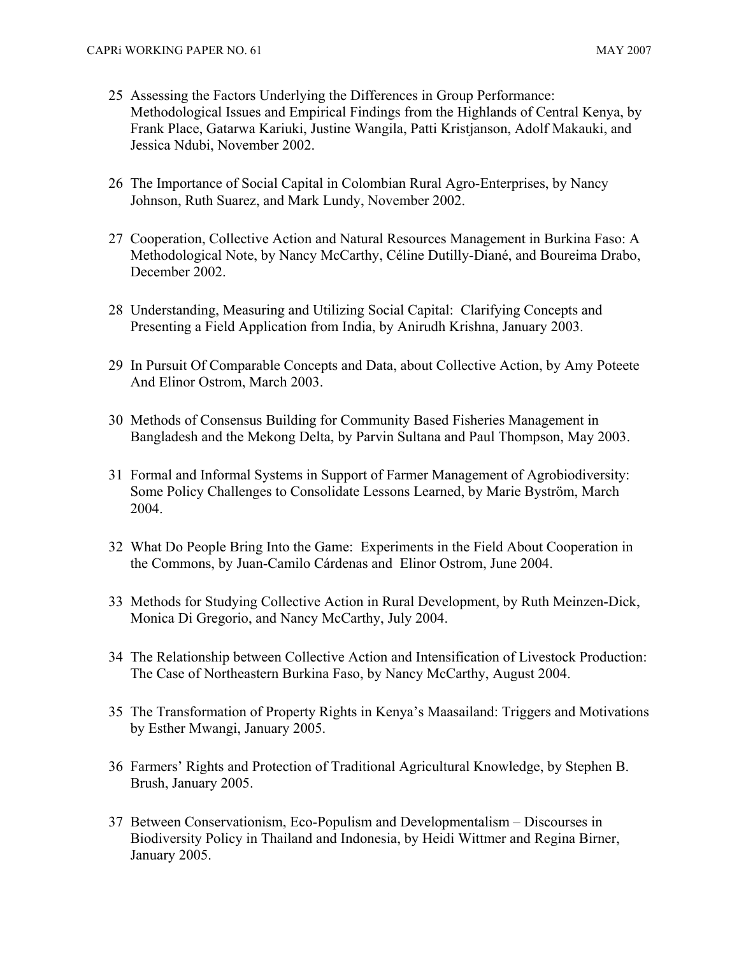- 25 Assessing the Factors Underlying the Differences in Group Performance: Methodological Issues and Empirical Findings from the Highlands of Central Kenya, by Frank Place, Gatarwa Kariuki, Justine Wangila, Patti Kristjanson, Adolf Makauki, and Jessica Ndubi, November 2002.
- 26 The Importance of Social Capital in Colombian Rural Agro-Enterprises, by Nancy Johnson, Ruth Suarez, and Mark Lundy, November 2002.
- 27 Cooperation, Collective Action and Natural Resources Management in Burkina Faso: A Methodological Note, by Nancy McCarthy, Céline Dutilly-Diané, and Boureima Drabo, December 2002.
- 28 Understanding, Measuring and Utilizing Social Capital: Clarifying Concepts and Presenting a Field Application from India, by Anirudh Krishna, January 2003.
- 29 In Pursuit Of Comparable Concepts and Data, about Collective Action, by Amy Poteete And Elinor Ostrom, March 2003.
- 30 Methods of Consensus Building for Community Based Fisheries Management in Bangladesh and the Mekong Delta, by Parvin Sultana and Paul Thompson, May 2003.
- 31 Formal and Informal Systems in Support of Farmer Management of Agrobiodiversity: Some Policy Challenges to Consolidate Lessons Learned, by Marie Byström, March 2004.
- 32 What Do People Bring Into the Game: Experiments in the Field About Cooperation in the Commons, by Juan-Camilo Cárdenas and Elinor Ostrom, June 2004.
- 33 Methods for Studying Collective Action in Rural Development, by Ruth Meinzen-Dick, Monica Di Gregorio, and Nancy McCarthy, July 2004.
- 34 The Relationship between Collective Action and Intensification of Livestock Production: The Case of Northeastern Burkina Faso, by Nancy McCarthy, August 2004.
- 35 The Transformation of Property Rights in Kenya's Maasailand: Triggers and Motivations by Esther Mwangi, January 2005.
- 36 Farmers' Rights and Protection of Traditional Agricultural Knowledge, by Stephen B. Brush, January 2005.
- 37 Between Conservationism, Eco-Populism and Developmentalism Discourses in Biodiversity Policy in Thailand and Indonesia, by Heidi Wittmer and Regina Birner, January 2005.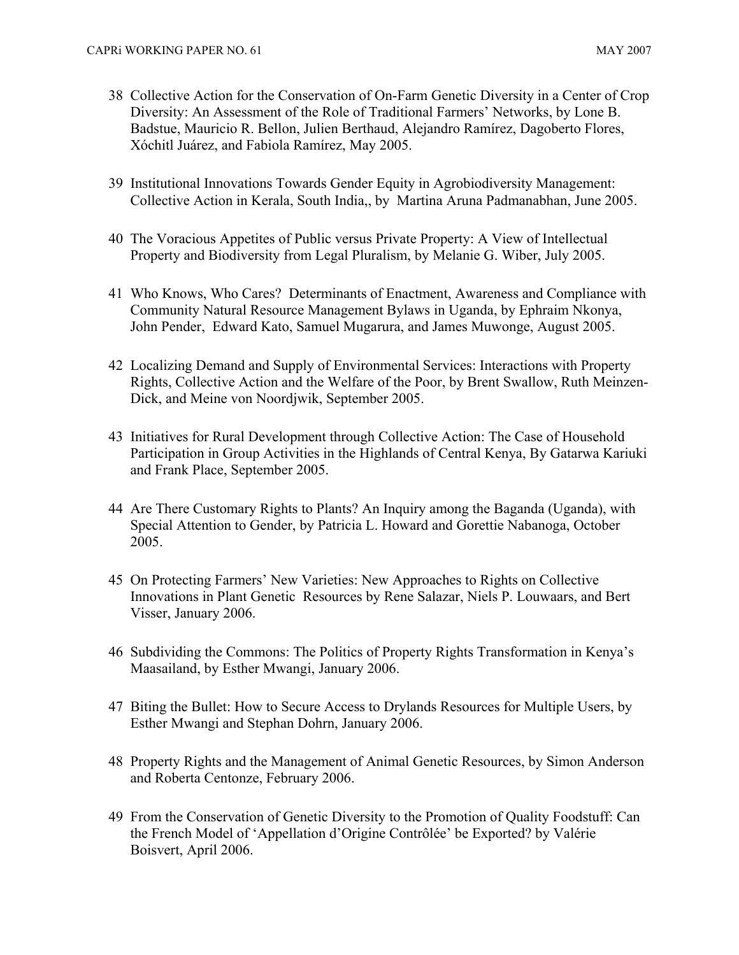- 38 Collective Action for the Conservation of On-Farm Genetic Diversity in a Center of Crop Diversity: An Assessment of the Role of Traditional Farmers' Networks, by Lone B. Badstue, Mauricio R. Bellon, Julien Berthaud, Alejandro Ramírez, Dagoberto Flores, Xóchitl Juárez, and Fabiola Ramírez, May 2005.
- 39 Institutional Innovations Towards Gender Equity in Agrobiodiversity Management: Collective Action in Kerala, South India,, by Martina Aruna Padmanabhan, June 2005.
- 40 The Voracious Appetites of Public versus Private Property: A View of Intellectual Property and Biodiversity from Legal Pluralism, by Melanie G. Wiber, July 2005.
- 41 Who Knows, Who Cares? Determinants of Enactment, Awareness and Compliance with Community Natural Resource Management Bylaws in Uganda, by Ephraim Nkonya, John Pender, Edward Kato, Samuel Mugarura, and James Muwonge, August 2005.
- 42 Localizing Demand and Supply of Environmental Services: Interactions with Property Rights, Collective Action and the Welfare of the Poor, by Brent Swallow, Ruth Meinzen-Dick, and Meine von Noordjwik, September 2005.
- 43 Initiatives for Rural Development through Collective Action: The Case of Household Participation in Group Activities in the Highlands of Central Kenya, By Gatarwa Kariuki and Frank Place, September 2005.
- 44 Are There Customary Rights to Plants? An Inquiry among the Baganda (Uganda), with Special Attention to Gender, by Patricia L. Howard and Gorettie Nabanoga, October 2005.
- 45 On Protecting Farmers' New Varieties: New Approaches to Rights on Collective Innovations in Plant Genetic Resources by Rene Salazar, Niels P. Louwaars, and Bert Visser, January 2006.
- 46 Subdividing the Commons: The Politics of Property Rights Transformation in Kenya's Maasailand, by Esther Mwangi, January 2006.
- 47 Biting the Bullet: How to Secure Access to Drylands Resources for Multiple Users, by Esther Mwangi and Stephan Dohrn, January 2006.
- 48 Property Rights and the Management of Animal Genetic Resources, by Simon Anderson and Roberta Centonze, February 2006.
- 49 From the Conservation of Genetic Diversity to the Promotion of Quality Foodstuff: Can the French Model of 'Appellation d'Origine Contrôlée' be Exported? by Valérie Boisvert, April 2006.